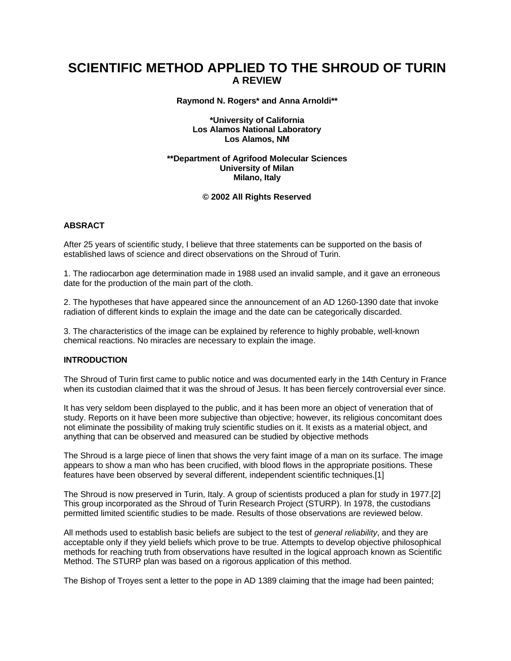# **SCIENTIFIC METHOD APPLIED TO THE SHROUD OF TURIN A REVIEW**

**Raymond N. Rogers\* and Anna Arnoldi\*\***

**\*University of California Los Alamos National Laboratory Los Alamos, NM**

**\*\*Department of Agrifood Molecular Sciences University of Milan Milano, Italy**

#### **© 2002 All Rights Reserved**

### **ABSRACT**

After 25 years of scientific study, I believe that three statements can be supported on the basis of established laws of science and direct observations on the Shroud of Turin.

1. The radiocarbon age determination made in 1988 used an invalid sample, and it gave an erroneous date for the production of the main part of the cloth.

2. The hypotheses that have appeared since the announcement of an AD 1260-1390 date that invoke radiation of different kinds to explain the image and the date can be categorically discarded.

3. The characteristics of the image can be explained by reference to highly probable, well-known chemical reactions. No miracles are necessary to explain the image.

# **INTRODUCTION**

The Shroud of Turin first came to public notice and was documented early in the 14th Century in France when its custodian claimed that it was the shroud of Jesus. It has been fiercely controversial ever since.

It has very seldom been displayed to the public, and it has been more an object of veneration that of study. Reports on it have been more subjective than objective; however, its religious concomitant does not eliminate the possibility of making truly scientific studies on it. It exists as a material object, and anything that can be observed and measured can be studied by objective methods

The Shroud is a large piece of linen that shows the very faint image of a man on its surface. The image appears to show a man who has been crucified, with blood flows in the appropriate positions. These features have been observed by several different, independent scientific techniques.[1]

The Shroud is now preserved in Turin, Italy. A group of scientists produced a plan for study in 1977.[2] This group incorporated as the Shroud of Turin Research Project (STURP). In 1978, the custodians permitted limited scientific studies to be made. Results of those observations are reviewed below.

All methods used to establish basic beliefs are subject to the test of *general reliability*, and they are acceptable only if they yield beliefs which prove to be true. Attempts to develop objective philosophical methods for reaching truth from observations have resulted in the logical approach known as Scientific Method. The STURP plan was based on a rigorous application of this method.

The Bishop of Troyes sent a letter to the pope in AD 1389 claiming that the image had been painted;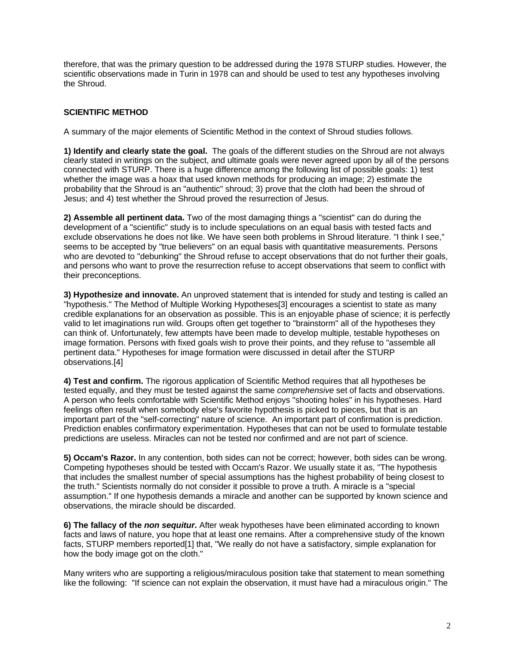therefore, that was the primary question to be addressed during the 1978 STURP studies. However, the scientific observations made in Turin in 1978 can and should be used to test any hypotheses involving the Shroud.

# **SCIENTIFIC METHOD**

A summary of the major elements of Scientific Method in the context of Shroud studies follows.

**1) Identify and clearly state the goal.** The goals of the different studies on the Shroud are not always clearly stated in writings on the subject, and ultimate goals were never agreed upon by all of the persons connected with STURP. There is a huge difference among the following list of possible goals: 1) test whether the image was a hoax that used known methods for producing an image; 2) estimate the probability that the Shroud is an "authentic" shroud; 3) prove that the cloth had been the shroud of Jesus; and 4) test whether the Shroud proved the resurrection of Jesus.

**2) Assemble all pertinent data.** Two of the most damaging things a "scientist" can do during the development of a "scientific" study is to include speculations on an equal basis with tested facts and exclude observations he does not like. We have seen both problems in Shroud literature. "I think I see," seems to be accepted by "true believers" on an equal basis with quantitative measurements. Persons who are devoted to "debunking" the Shroud refuse to accept observations that do not further their goals, and persons who want to prove the resurrection refuse to accept observations that seem to conflict with their preconceptions.

**3) Hypothesize and innovate.** An unproved statement that is intended for study and testing is called an "hypothesis." The Method of Multiple Working Hypotheses[3] encourages a scientist to state as many credible explanations for an observation as possible. This is an enjoyable phase of science; it is perfectly valid to let imaginations run wild. Groups often get together to "brainstorm" all of the hypotheses they can think of. Unfortunately, few attempts have been made to develop multiple, testable hypotheses on image formation. Persons with fixed goals wish to prove their points, and they refuse to "assemble all pertinent data." Hypotheses for image formation were discussed in detail after the STURP observations.[4]

**4) Test and confirm.** The rigorous application of Scientific Method requires that all hypotheses be tested equally, and they must be tested against the same *comprehensive* set of facts and observations. A person who feels comfortable with Scientific Method enjoys "shooting holes" in his hypotheses. Hard feelings often result when somebody else's favorite hypothesis is picked to pieces, but that is an important part of the "self-correcting" nature of science. An important part of confirmation is prediction. Prediction enables confirmatory experimentation. Hypotheses that can not be used to formulate testable predictions are useless. Miracles can not be tested nor confirmed and are not part of science.

**5) Occam's Razor.** In any contention, both sides can not be correct; however, both sides can be wrong. Competing hypotheses should be tested with Occam's Razor. We usually state it as, "The hypothesis that includes the smallest number of special assumptions has the highest probability of being closest to the truth." Scientists normally do not consider it possible to prove a truth. A miracle is a "special assumption." If one hypothesis demands a miracle and another can be supported by known science and observations, the miracle should be discarded.

**6) The fallacy of the** *non sequitur***.** After weak hypotheses have been eliminated according to known facts and laws of nature, you hope that at least one remains. After a comprehensive study of the known facts, STURP members reported[1] that, "We really do not have a satisfactory, simple explanation for how the body image got on the cloth."

Many writers who are supporting a religious/miraculous position take that statement to mean something like the following: "If science can not explain the observation, it must have had a miraculous origin." The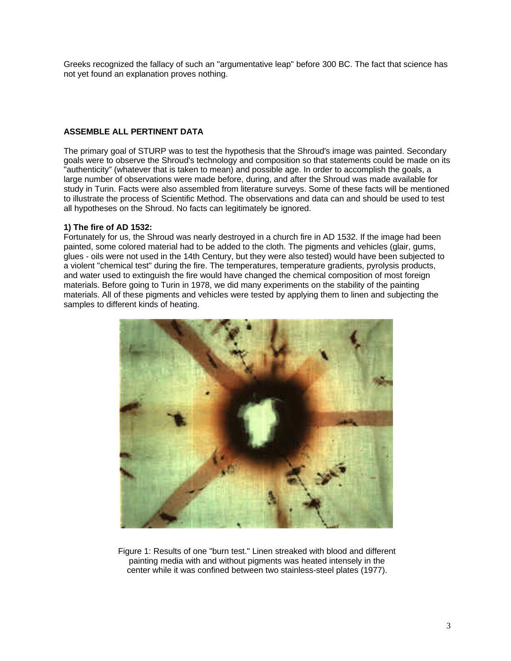Greeks recognized the fallacy of such an "argumentative leap" before 300 BC. The fact that science has not yet found an explanation proves nothing.

# **ASSEMBLE ALL PERTINENT DATA**

The primary goal of STURP was to test the hypothesis that the Shroud's image was painted. Secondary goals were to observe the Shroud's technology and composition so that statements could be made on its "authenticity" (whatever that is taken to mean) and possible age. In order to accomplish the goals, a large number of observations were made before, during, and after the Shroud was made available for study in Turin. Facts were also assembled from literature surveys. Some of these facts will be mentioned to illustrate the process of Scientific Method. The observations and data can and should be used to test all hypotheses on the Shroud. No facts can legitimately be ignored.

### **1) The fire of AD 1532:**

Fortunately for us, the Shroud was nearly destroyed in a church fire in AD 1532. If the image had been painted, some colored material had to be added to the cloth. The pigments and vehicles (glair, gums, glues - oils were not used in the 14th Century, but they were also tested) would have been subjected to a violent "chemical test" during the fire. The temperatures, temperature gradients, pyrolysis products, and water used to extinguish the fire would have changed the chemical composition of most foreign materials. Before going to Turin in 1978, we did many experiments on the stability of the painting materials. All of these pigments and vehicles were tested by applying them to linen and subjecting the samples to different kinds of heating.



Figure 1: Results of one "burn test." Linen streaked with blood and different painting media with and without pigments was heated intensely in the center while it was confined between two stainless-steel plates (1977).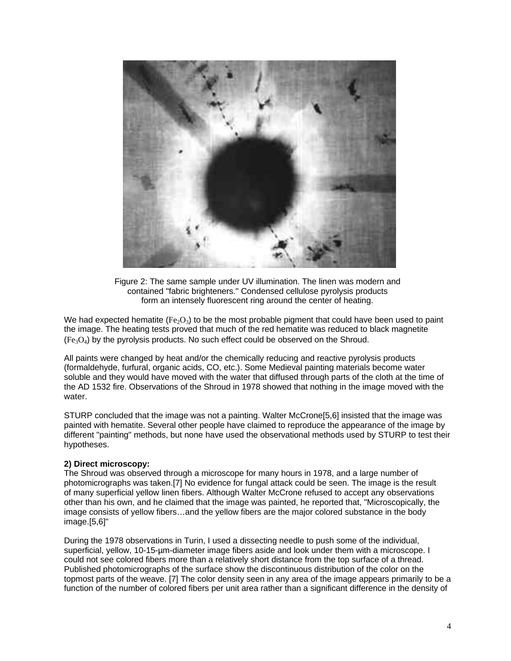

Figure 2: The same sample under UV illumination. The linen was modern and contained "fabric brighteners." Condensed cellulose pyrolysis products form an intensely fluorescent ring around the center of heating.

We had expected hematite  $(Fe<sub>2</sub>O<sub>3</sub>)$  to be the most probable pigment that could have been used to paint the image. The heating tests proved that much of the red hematite was reduced to black magnetite  $(F_{e3}O_4)$  by the pyrolysis products. No such effect could be observed on the Shroud.

All paints were changed by heat and/or the chemically reducing and reactive pyrolysis products (formaldehyde, furfural, organic acids, CO, etc.). Some Medieval painting materials become water soluble and they would have moved with the water that diffused through parts of the cloth at the time of the AD 1532 fire. Observations of the Shroud in 1978 showed that nothing in the image moved with the water.

STURP concluded that the image was not a painting. Walter McCrone[5,6] insisted that the image was painted with hematite. Several other people have claimed to reproduce the appearance of the image by different "painting" methods, but none have used the observational methods used by STURP to test their hypotheses.

#### **2) Direct microscopy:**

The Shroud was observed through a microscope for many hours in 1978, and a large number of photomicrographs was taken.[7] No evidence for fungal attack could be seen. The image is the result of many superficial yellow linen fibers. Although Walter McCrone refused to accept any observations other than his own, and he claimed that the image was painted, he reported that, "Microscopically, the image consists of yellow fibers…and the yellow fibers are the major colored substance in the body image.[5,6]"

During the 1978 observations in Turin, I used a dissecting needle to push some of the individual, superficial, yellow, 10-15-µm-diameter image fibers aside and look under them with a microscope. I could not see colored fibers more than a relatively short distance from the top surface of a thread. Published photomicrographs of the surface show the discontinuous distribution of the color on the topmost parts of the weave. [7] The color density seen in any area of the image appears primarily to be a function of the number of colored fibers per unit area rather than a significant difference in the density of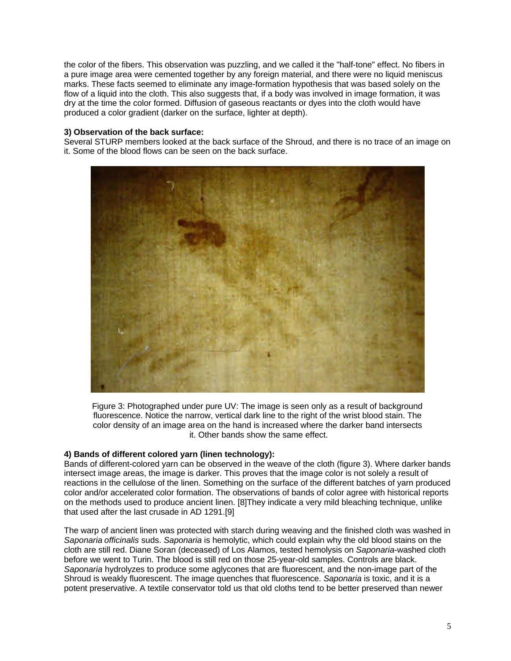the color of the fibers. This observation was puzzling, and we called it the "half-tone" effect. No fibers in a pure image area were cemented together by any foreign material, and there were no liquid meniscus marks. These facts seemed to eliminate any image-formation hypothesis that was based solely on the flow of a liquid into the cloth. This also suggests that, if a body was involved in image formation, it was dry at the time the color formed. Diffusion of gaseous reactants or dyes into the cloth would have produced a color gradient (darker on the surface, lighter at depth).

### **3) Observation of the back surface:**

Several STURP members looked at the back surface of the Shroud, and there is no trace of an image on it. Some of the blood flows can be seen on the back surface.



Figure 3: Photographed under pure UV: The image is seen only as a result of background fluorescence. Notice the narrow, vertical dark line to the right of the wrist blood stain. The color density of an image area on the hand is increased where the darker band intersects it. Other bands show the same effect.

### **4) Bands of different colored yarn (linen technology):**

Bands of different-colored yarn can be observed in the weave of the cloth (figure 3). Where darker bands intersect image areas, the image is darker. This proves that the image color is not solely a result of reactions in the cellulose of the linen. Something on the surface of the different batches of yarn produced color and/or accelerated color formation. The observations of bands of color agree with historical reports on the methods used to produce ancient linen. [8]They indicate a very mild bleaching technique, unlike that used after the last crusade in AD 1291.[9]

The warp of ancient linen was protected with starch during weaving and the finished cloth was washed in *Saponaria officinalis* suds. *Saponaria* is hemolytic, which could explain why the old blood stains on the cloth are still red. Diane Soran (deceased) of Los Alamos, tested hemolysis on *Saponaria*-washed cloth before we went to Turin. The blood is still red on those 25-year-old samples. Controls are black. *Saponaria* hydrolyzes to produce some aglycones that are fluorescent, and the non-image part of the Shroud is weakly fluorescent. The image quenches that fluorescence. *Saponaria* is toxic, and it is a potent preservative. A textile conservator told us that old cloths tend to be better preserved than newer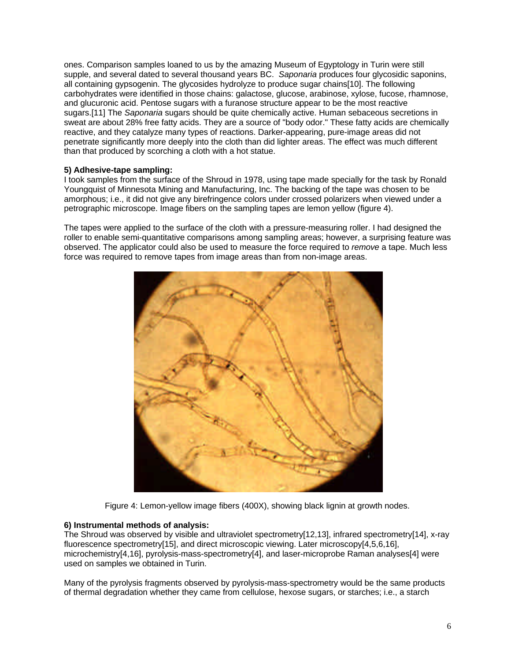ones. Comparison samples loaned to us by the amazing Museum of Egyptology in Turin were still supple, and several dated to several thousand years BC. *Saponaria* produces four glycosidic saponins, all containing gypsogenin. The glycosides hydrolyze to produce sugar chains[10]. The following carbohydrates were identified in those chains: galactose, glucose, arabinose, xylose, fucose, rhamnose, and glucuronic acid. Pentose sugars with a furanose structure appear to be the most reactive sugars.[11] The *Saponaria* sugars should be quite chemically active. Human sebaceous secretions in sweat are about 28% free fatty acids. They are a source of "body odor." These fatty acids are chemically reactive, and they catalyze many types of reactions. Darker-appearing, pure-image areas did not penetrate significantly more deeply into the cloth than did lighter areas. The effect was much different than that produced by scorching a cloth with a hot statue.

# **5) Adhesive-tape sampling:**

I took samples from the surface of the Shroud in 1978, using tape made specially for the task by Ronald Youngquist of Minnesota Mining and Manufacturing, Inc. The backing of the tape was chosen to be amorphous; i.e., it did not give any birefringence colors under crossed polarizers when viewed under a petrographic microscope. Image fibers on the sampling tapes are lemon yellow (figure 4).

The tapes were applied to the surface of the cloth with a pressure-measuring roller. I had designed the roller to enable semi-quantitative comparisons among sampling areas; however, a surprising feature was observed. The applicator could also be used to measure the force required to *remove* a tape. Much less force was required to remove tapes from image areas than from non-image areas.



Figure 4: Lemon-yellow image fibers (400X), showing black lignin at growth nodes.

#### **6) Instrumental methods of analysis:**

The Shroud was observed by visible and ultraviolet spectrometry[12,13], infrared spectrometry[14], x-ray fluorescence spectrometry[15], and direct microscopic viewing. Later microscopy[4,5,6,16], microchemistry[4,16], pyrolysis-mass-spectrometry[4], and laser-microprobe Raman analyses[4] were used on samples we obtained in Turin.

Many of the pyrolysis fragments observed by pyrolysis-mass-spectrometry would be the same products of thermal degradation whether they came from cellulose, hexose sugars, or starches; i.e., a starch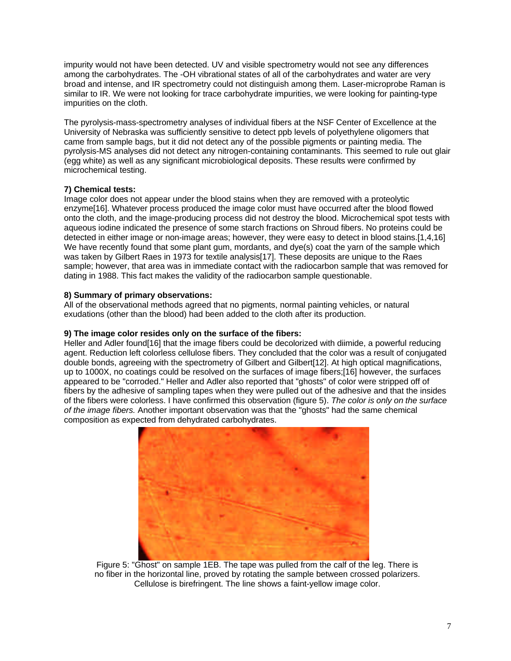impurity would not have been detected. UV and visible spectrometry would not see any differences among the carbohydrates. The -OH vibrational states of all of the carbohydrates and water are very broad and intense, and IR spectrometry could not distinguish among them. Laser-microprobe Raman is similar to IR. We were not looking for trace carbohydrate impurities, we were looking for painting-type impurities on the cloth.

The pyrolysis-mass-spectrometry analyses of individual fibers at the NSF Center of Excellence at the University of Nebraska was sufficiently sensitive to detect ppb levels of polyethylene oligomers that came from sample bags, but it did not detect any of the possible pigments or painting media. The pyrolysis-MS analyses did not detect any nitrogen-containing contaminants. This seemed to rule out glair (egg white) as well as any significant microbiological deposits. These results were confirmed by microchemical testing.

# **7) Chemical tests:**

Image color does not appear under the blood stains when they are removed with a proteolytic enzyme[16]. Whatever process produced the image color must have occurred after the blood flowed onto the cloth, and the image-producing process did not destroy the blood. Microchemical spot tests with aqueous iodine indicated the presence of some starch fractions on Shroud fibers. No proteins could be detected in either image or non-image areas; however, they were easy to detect in blood stains.[1,4,16] We have recently found that some plant gum, mordants, and dye(s) coat the yarn of the sample which was taken by Gilbert Raes in 1973 for textile analysis[17]. These deposits are unique to the Raes sample; however, that area was in immediate contact with the radiocarbon sample that was removed for dating in 1988. This fact makes the validity of the radiocarbon sample questionable.

# **8) Summary of primary observations:**

All of the observational methods agreed that no pigments, normal painting vehicles, or natural exudations (other than the blood) had been added to the cloth after its production.

# **9) The image color resides only on the surface of the fibers:**

Heller and Adler found[16] that the image fibers could be decolorized with diimide, a powerful reducing agent. Reduction left colorless cellulose fibers. They concluded that the color was a result of conjugated double bonds, agreeing with the spectrometry of Gilbert and Gilbert[12]. At high optical magnifications, up to 1000X, no coatings could be resolved on the surfaces of image fibers;[16] however, the surfaces appeared to be "corroded." Heller and Adler also reported that "ghosts" of color were stripped off of fibers by the adhesive of sampling tapes when they were pulled out of the adhesive and that the insides of the fibers were colorless. I have confirmed this observation (figure 5). *The color is only on the surface of the image fibers.* Another important observation was that the "ghosts" had the same chemical composition as expected from dehydrated carbohydrates.



Figure 5: "Ghost" on sample 1EB. The tape was pulled from the calf of the leg. There is no fiber in the horizontal line, proved by rotating the sample between crossed polarizers. Cellulose is birefringent. The line shows a faint-yellow image color.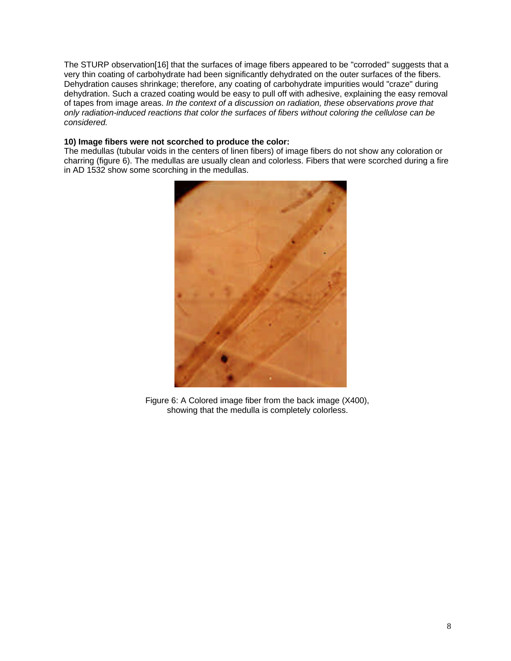The STURP observation[16] that the surfaces of image fibers appeared to be "corroded" suggests that a very thin coating of carbohydrate had been significantly dehydrated on the outer surfaces of the fibers. Dehydration causes shrinkage; therefore, any coating of carbohydrate impurities would "craze" during dehydration. Such a crazed coating would be easy to pull off with adhesive, explaining the easy removal of tapes from image areas. *In the context of a discussion on radiation, these observations prove that only radiation-induced reactions that color the surfaces of fibers without coloring the cellulose can be considered.*

### **10) Image fibers were not scorched to produce the color:**

The medullas (tubular voids in the centers of linen fibers) of image fibers do not show any coloration or charring (figure 6). The medullas are usually clean and colorless. Fibers that were scorched during a fire in AD 1532 show some scorching in the medullas.



Figure 6: A Colored image fiber from the back image (X400), showing that the medulla is completely colorless.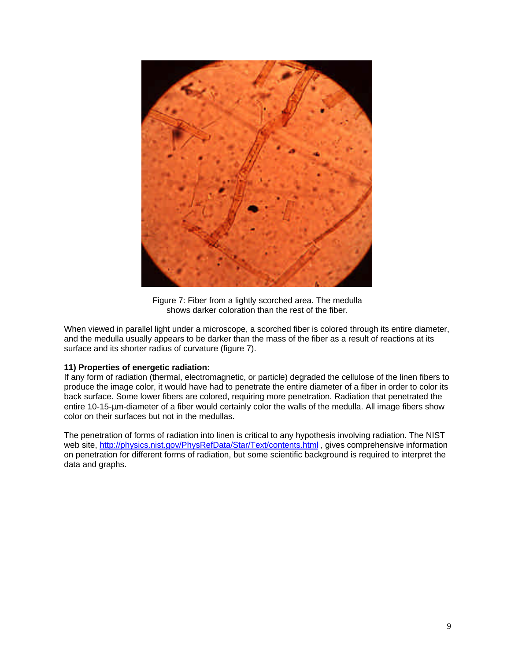

Figure 7: Fiber from a lightly scorched area. The medulla shows darker coloration than the rest of the fiber.

When viewed in parallel light under a microscope, a scorched fiber is colored through its entire diameter, and the medulla usually appears to be darker than the mass of the fiber as a result of reactions at its surface and its shorter radius of curvature (figure 7).

# **11) Properties of energetic radiation:**

If any form of radiation (thermal, electromagnetic, or particle) degraded the cellulose of the linen fibers to produce the image color, it would have had to penetrate the entire diameter of a fiber in order to color its back surface. Some lower fibers are colored, requiring more penetration. Radiation that penetrated the entire 10-15-μm-diameter of a fiber would certainly color the walls of the medulla. All image fibers show color on their surfaces but not in the medullas.

The penetration of forms of radiation into linen is critical to any hypothesis involving radiation. The NIST web site, http://physics.nist.gov/PhysRefData/Star/Text/contents.html , gives comprehensive information on penetration for different forms of radiation, but some scientific background is required to interpret the data and graphs.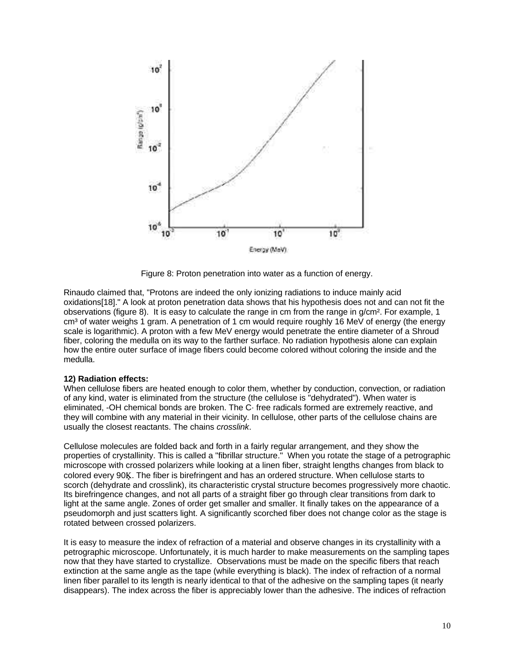

Figure 8: Proton penetration into water as a function of energy.

Rinaudo claimed that, "Protons are indeed the only ionizing radiations to induce mainly acid oxidations[18]." A look at proton penetration data shows that his hypothesis does not and can not fit the observations (figure 8). It is easy to calculate the range in cm from the range in g/cm². For example, 1 cm<sup>3</sup> of water weighs 1 gram. A penetration of 1 cm would require roughly 16 MeV of energy (the energy scale is logarithmic). A proton with a few MeV energy would penetrate the entire diameter of a Shroud fiber, coloring the medulla on its way to the farther surface. No radiation hypothesis alone can explain how the entire outer surface of image fibers could become colored without coloring the inside and the medulla.

#### **12) Radiation effects:**

When cellulose fibers are heated enough to color them, whether by conduction, convection, or radiation of any kind, water is eliminated from the structure (the cellulose is "dehydrated"). When water is eliminated, -OH chemical bonds are broken. The C· free radicals formed are extremely reactive, and they will combine with any material in their vicinity. In cellulose, other parts of the cellulose chains are usually the closest reactants. The chains *crosslink*.

Cellulose molecules are folded back and forth in a fairly regular arrangement, and they show the properties of crystallinity. This is called a "fibrillar structure." When you rotate the stage of a petrographic microscope with crossed polarizers while looking at a linen fiber, straight lengths changes from black to colored every 90K. The fiber is birefringent and has an ordered structure. When cellulose starts to scorch (dehydrate and crosslink), its characteristic crystal structure becomes progressively more chaotic. Its birefringence changes, and not all parts of a straight fiber go through clear transitions from dark to light at the same angle. Zones of order get smaller and smaller. It finally takes on the appearance of a pseudomorph and just scatters light. A significantly scorched fiber does not change color as the stage is rotated between crossed polarizers.

It is easy to measure the index of refraction of a material and observe changes in its crystallinity with a petrographic microscope. Unfortunately, it is much harder to make measurements on the sampling tapes now that they have started to crystallize. Observations must be made on the specific fibers that reach extinction at the same angle as the tape (while everything is black). The index of refraction of a normal linen fiber parallel to its length is nearly identical to that of the adhesive on the sampling tapes (it nearly disappears). The index across the fiber is appreciably lower than the adhesive. The indices of refraction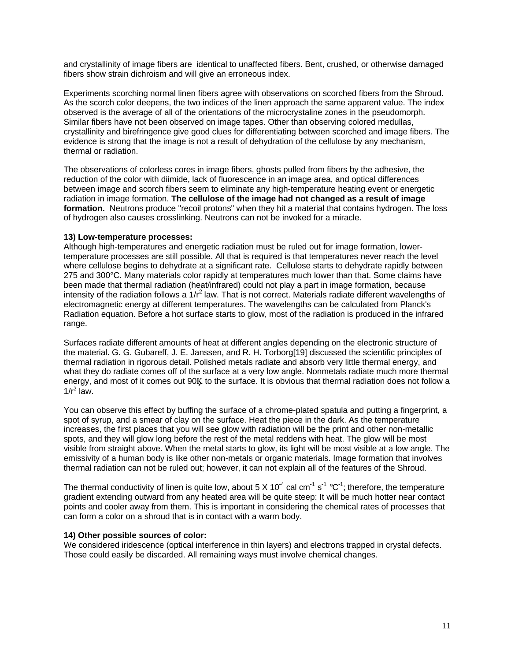and crystallinity of image fibers are identical to unaffected fibers. Bent, crushed, or otherwise damaged fibers show strain dichroism and will give an erroneous index.

Experiments scorching normal linen fibers agree with observations on scorched fibers from the Shroud. As the scorch color deepens, the two indices of the linen approach the same apparent value. The index observed is the average of all of the orientations of the microcrystaline zones in the pseudomorph. Similar fibers have not been observed on image tapes. Other than observing colored medullas, crystallinity and birefringence give good clues for differentiating between scorched and image fibers. The evidence is strong that the image is not a result of dehydration of the cellulose by any mechanism, thermal or radiation.

The observations of colorless cores in image fibers, ghosts pulled from fibers by the adhesive, the reduction of the color with diimide, lack of fluorescence in an image area, and optical differences between image and scorch fibers seem to eliminate any high-temperature heating event or energetic radiation in image formation. **The cellulose of the image had not changed as a result of image formation.** Neutrons produce "recoil protons" when they hit a material that contains hydrogen. The loss of hydrogen also causes crosslinking. Neutrons can not be invoked for a miracle.

#### **13) Low-temperature processes:**

Although high-temperatures and energetic radiation must be ruled out for image formation, lowertemperature processes are still possible. All that is required is that temperatures never reach the level where cellulose begins to dehydrate at a significant rate. Cellulose starts to dehydrate rapidly between 275 and 300°C. Many materials color rapidly at temperatures much lower than that. Some claims have been made that thermal radiation (heat/infrared) could not play a part in image formation, because intensity of the radiation follows a  $1/r^2$  law. That is not correct. Materials radiate different wavelengths of electromagnetic energy at different temperatures. The wavelengths can be calculated from Planck's Radiation equation. Before a hot surface starts to glow, most of the radiation is produced in the infrared range.

Surfaces radiate different amounts of heat at different angles depending on the electronic structure of the material. G. G. Gubareff, J. E. Janssen, and R. H. Torborg[19] discussed the scientific principles of thermal radiation in rigorous detail. Polished metals radiate and absorb very little thermal energy, and what they do radiate comes off of the surface at a very low angle. Nonmetals radiate much more thermal energy, and most of it comes out 90K to the surface. It is obvious that thermal radiation does not follow a  $1/r^2$  law.

You can observe this effect by buffing the surface of a chrome-plated spatula and putting a fingerprint, a spot of syrup, and a smear of clay on the surface. Heat the piece in the dark. As the temperature increases, the first places that you will see glow with radiation will be the print and other non-metallic spots, and they will glow long before the rest of the metal reddens with heat. The glow will be most visible from straight above. When the metal starts to glow, its light will be most visible at a low angle. The emissivity of a human body is like other non-metals or organic materials. Image formation that involves thermal radiation can not be ruled out; however, it can not explain all of the features of the Shroud.

The thermal conductivity of linen is quite low, about 5 X 10<sup>-4</sup> cal cm<sup>-1</sup> s<sup>-1</sup> °C<sup>-1</sup>; therefore, the temperature gradient extending outward from any heated area will be quite steep: It will be much hotter near contact points and cooler away from them. This is important in considering the chemical rates of processes that can form a color on a shroud that is in contact with a warm body.

#### **14) Other possible sources of color:**

We considered iridescence (optical interference in thin layers) and electrons trapped in crystal defects. Those could easily be discarded. All remaining ways must involve chemical changes.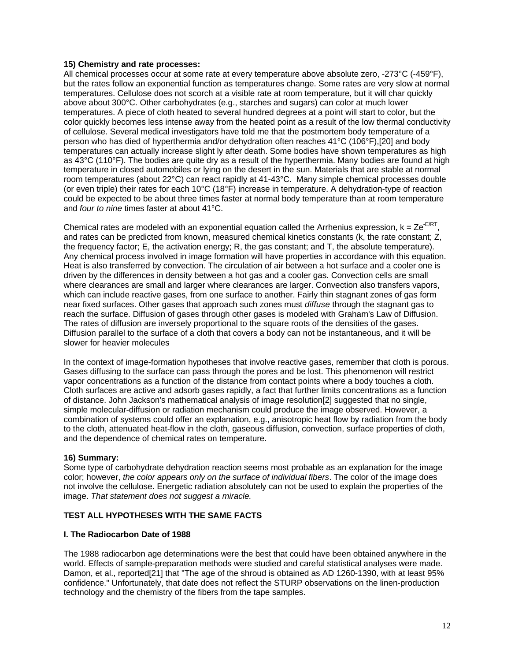### **15) Chemistry and rate processes:**

All chemical processes occur at some rate at every temperature above absolute zero, -273°C (-459°F), but the rates follow an exponential function as temperatures change. Some rates are very slow at normal temperatures. Cellulose does not scorch at a visible rate at room temperature, but it will char quickly above about 300°C. Other carbohydrates (e.g., starches and sugars) can color at much lower temperatures. A piece of cloth heated to several hundred degrees at a point will start to color, but the color quickly becomes less intense away from the heated point as a result of the low thermal conductivity of cellulose. Several medical investigators have told me that the postmortem body temperature of a person who has died of hyperthermia and/or dehydration often reaches 41°C (106°F),[20] and body temperatures can actually increase slight ly after death. Some bodies have shown temperatures as high as 43°C (110°F). The bodies are quite dry as a result of the hyperthermia. Many bodies are found at high temperature in closed automobiles or lying on the desert in the sun. Materials that are stable at normal room temperatures (about 22°C) can react rapidly at 41-43°C. Many simple chemical processes double (or even triple) their rates for each 10°C (18°F) increase in temperature. A dehydration-type of reaction could be expected to be about three times faster at normal body temperature than at room temperature and *four to nine* times faster at about 41°C.

Chemical rates are modeled with an exponential equation called the Arrhenius expression,  $k = Ze^{-E/RT}$ , and rates can be predicted from known, measured chemical kinetics constants (k, the rate constant; Z, the frequency factor; E, the activation energy; R, the gas constant; and T, the absolute temperature). Any chemical process involved in image formation will have properties in accordance with this equation. Heat is also transferred by convection. The circulation of air between a hot surface and a cooler one is driven by the differences in density between a hot gas and a cooler gas. Convection cells are small where clearances are small and larger where clearances are larger. Convection also transfers vapors, which can include reactive gases, from one surface to another. Fairly thin stagnant zones of gas form near fixed surfaces. Other gases that approach such zones must *diffuse* through the stagnant gas to reach the surface. Diffusion of gases through other gases is modeled with Graham's Law of Diffusion. The rates of diffusion are inversely proportional to the square roots of the densities of the gases. Diffusion parallel to the surface of a cloth that covers a body can not be instantaneous, and it will be slower for heavier molecules

In the context of image-formation hypotheses that involve reactive gases, remember that cloth is porous. Gases diffusing to the surface can pass through the pores and be lost. This phenomenon will restrict vapor concentrations as a function of the distance from contact points where a body touches a cloth. Cloth surfaces are active and adsorb gases rapidly, a fact that further limits concentrations as a function of distance. John Jackson's mathematical analysis of image resolution[2] suggested that no single, simple molecular-diffusion or radiation mechanism could produce the image observed. However, a combination of systems could offer an explanation, e.g., anisotropic heat flow by radiation from the body to the cloth, attenuated heat-flow in the cloth, gaseous diffusion, convection, surface properties of cloth, and the dependence of chemical rates on temperature.

# **16) Summary:**

Some type of carbohydrate dehydration reaction seems most probable as an explanation for the image color; however, *the color appears only on the surface of individual fibers*. The color of the image does not involve the cellulose. Energetic radiation absolutely can not be used to explain the properties of the image. *That statement does not suggest a miracle.*

# **TEST ALL HYPOTHESES WITH THE SAME FACTS**

#### **I. The Radiocarbon Date of 1988**

The 1988 radiocarbon age determinations were the best that could have been obtained anywhere in the world. Effects of sample-preparation methods were studied and careful statistical analyses were made. Damon, et al., reported[21] that "The age of the shroud is obtained as AD 1260-1390, with at least 95% confidence." Unfortunately, that date does not reflect the STURP observations on the linen-production technology and the chemistry of the fibers from the tape samples.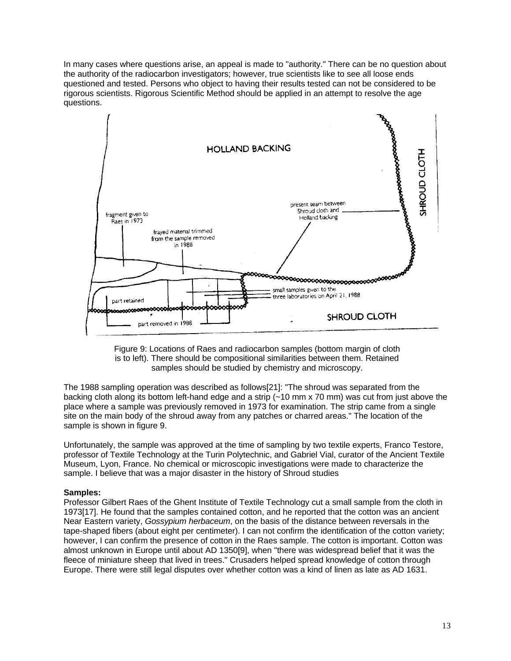In many cases where questions arise, an appeal is made to "authority." There can be no question about the authority of the radiocarbon investigators; however, true scientists like to see all loose ends questioned and tested. Persons who object to having their results tested can not be considered to be rigorous scientists. Rigorous Scientific Method should be applied in an attempt to resolve the age questions.



Figure 9: Locations of Raes and radiocarbon samples (bottom margin of cloth is to left). There should be compositional similarities between them. Retained samples should be studied by chemistry and microscopy.

The 1988 sampling operation was described as follows[21]: "The shroud was separated from the backing cloth along its bottom left-hand edge and a strip (~10 mm x 70 mm) was cut from just above the place where a sample was previously removed in 1973 for examination. The strip came from a single site on the main body of the shroud away from any patches or charred areas." The location of the sample is shown in figure 9.

Unfortunately, the sample was approved at the time of sampling by two textile experts, Franco Testore, professor of Textile Technology at the Turin Polytechnic, and Gabriel Vial, curator of the Ancient Textile Museum, Lyon, France. No chemical or microscopic investigations were made to characterize the sample. I believe that was a major disaster in the history of Shroud studies

#### **Samples:**

Professor Gilbert Raes of the Ghent Institute of Textile Technology cut a small sample from the cloth in 1973[17]. He found that the samples contained cotton, and he reported that the cotton was an ancient Near Eastern variety, *Gossypium herbaceum*, on the basis of the distance between reversals in the tape-shaped fibers (about eight per centimeter). I can not confirm the identification of the cotton variety; however, I can confirm the presence of cotton in the Raes sample. The cotton is important. Cotton was almost unknown in Europe until about AD 1350[9], when "there was widespread belief that it was the fleece of miniature sheep that lived in trees." Crusaders helped spread knowledge of cotton through Europe. There were still legal disputes over whether cotton was a kind of linen as late as AD 1631.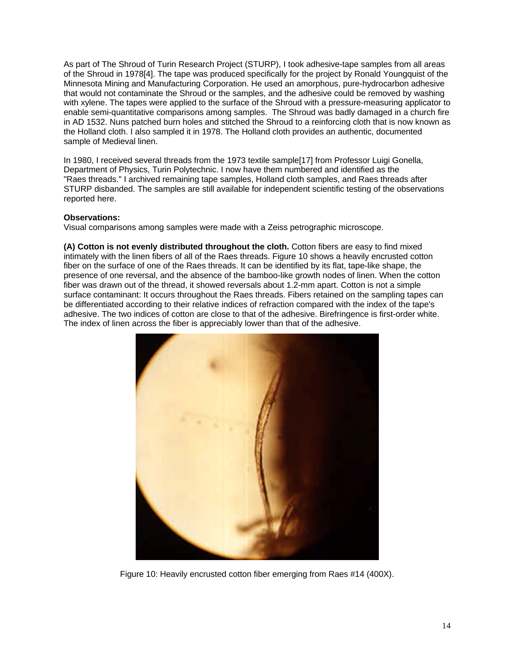As part of The Shroud of Turin Research Project (STURP), I took adhesive-tape samples from all areas of the Shroud in 1978[4]. The tape was produced specifically for the project by Ronald Youngquist of the Minnesota Mining and Manufacturing Corporation. He used an amorphous, pure-hydrocarbon adhesive that would not contaminate the Shroud or the samples, and the adhesive could be removed by washing with xylene. The tapes were applied to the surface of the Shroud with a pressure-measuring applicator to enable semi-quantitative comparisons among samples. The Shroud was badly damaged in a church fire in AD 1532. Nuns patched burn holes and stitched the Shroud to a reinforcing cloth that is now known as the Holland cloth. I also sampled it in 1978. The Holland cloth provides an authentic, documented sample of Medieval linen.

In 1980, I received several threads from the 1973 textile sample[17] from Professor Luigi Gonella, Department of Physics, Turin Polytechnic. I now have them numbered and identified as the "Raes threads." I archived remaining tape samples, Holland cloth samples, and Raes threads after STURP disbanded. The samples are still available for independent scientific testing of the observations reported here.

### **Observations:**

Visual comparisons among samples were made with a Zeiss petrographic microscope.

**(A) Cotton is not evenly distributed throughout the cloth.** Cotton fibers are easy to find mixed intimately with the linen fibers of all of the Raes threads. Figure 10 shows a heavily encrusted cotton fiber on the surface of one of the Raes threads. It can be identified by its flat, tape-like shape, the presence of one reversal, and the absence of the bamboo-like growth nodes of linen. When the cotton fiber was drawn out of the thread, it showed reversals about 1.2-mm apart. Cotton is not a simple surface contaminant: It occurs throughout the Raes threads. Fibers retained on the sampling tapes can be differentiated according to their relative indices of refraction compared with the index of the tape's adhesive. The two indices of cotton are close to that of the adhesive. Birefringence is first-order white. The index of linen across the fiber is appreciably lower than that of the adhesive.



Figure 10: Heavily encrusted cotton fiber emerging from Raes #14 (400X).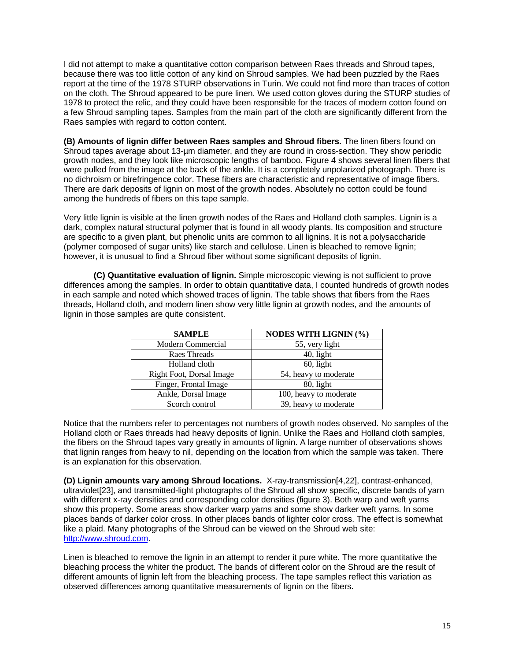I did not attempt to make a quantitative cotton comparison between Raes threads and Shroud tapes, because there was too little cotton of any kind on Shroud samples. We had been puzzled by the Raes report at the time of the 1978 STURP observations in Turin. We could not find more than traces of cotton on the cloth. The Shroud appeared to be pure linen. We used cotton gloves during the STURP studies of 1978 to protect the relic, and they could have been responsible for the traces of modern cotton found on a few Shroud sampling tapes. Samples from the main part of the cloth are significantly different from the Raes samples with regard to cotton content.

**(B) Amounts of lignin differ between Raes samples and Shroud fibers.** The linen fibers found on Shroud tapes average about 13-µm diameter, and they are round in cross-section. They show periodic growth nodes, and they look like microscopic lengths of bamboo. Figure 4 shows several linen fibers that were pulled from the image at the back of the ankle. It is a completely unpolarized photograph. There is no dichroism or birefringence color. These fibers are characteristic and representative of image fibers. There are dark deposits of lignin on most of the growth nodes. Absolutely no cotton could be found among the hundreds of fibers on this tape sample.

Very little lignin is visible at the linen growth nodes of the Raes and Holland cloth samples. Lignin is a dark, complex natural structural polymer that is found in all woody plants. Its composition and structure are specific to a given plant, but phenolic units are common to all lignins. It is not a polysaccharide (polymer composed of sugar units) like starch and cellulose. Linen is bleached to remove lignin; however, it is unusual to find a Shroud fiber without some significant deposits of lignin.

**(C) Quantitative evaluation of lignin.** Simple microscopic viewing is not sufficient to prove differences among the samples. In order to obtain quantitative data, I counted hundreds of growth nodes in each sample and noted which showed traces of lignin. The table shows that fibers from the Raes threads, Holland cloth, and modern linen show very little lignin at growth nodes, and the amounts of lignin in those samples are quite consistent.

| <b>SAMPLE</b>            | <b>NODES WITH LIGNIN (%)</b> |
|--------------------------|------------------------------|
| Modern Commercial        | 55, very light               |
| <b>Raes Threads</b>      | $40$ , light                 |
| Holland cloth            | $60$ , light                 |
| Right Foot, Dorsal Image | 54, heavy to moderate        |
| Finger, Frontal Image    | 80, light                    |
| Ankle, Dorsal Image      | 100, heavy to moderate       |
| Scorch control           | 39, heavy to moderate        |

Notice that the numbers refer to percentages not numbers of growth nodes observed. No samples of the Holland cloth or Raes threads had heavy deposits of lignin. Unlike the Raes and Holland cloth samples, the fibers on the Shroud tapes vary greatly in amounts of lignin. A large number of observations shows that lignin ranges from heavy to nil, depending on the location from which the sample was taken. There is an explanation for this observation.

**(D) Lignin amounts vary among Shroud locations.** X-ray-transmission[4,22], contrast-enhanced, ultraviolet[23], and transmitted-light photographs of the Shroud all show specific, discrete bands of yarn with different x-ray densities and corresponding color densities (figure 3). Both warp and weft yarns show this property. Some areas show darker warp yarns and some show darker weft yarns. In some places bands of darker color cross. In other places bands of lighter color cross. The effect is somewhat like a plaid. Many photographs of the Shroud can be viewed on the Shroud web site: http://www.shroud.com.

Linen is bleached to remove the lignin in an attempt to render it pure white. The more quantitative the bleaching process the whiter the product. The bands of different color on the Shroud are the result of different amounts of lignin left from the bleaching process. The tape samples reflect this variation as observed differences among quantitative measurements of lignin on the fibers.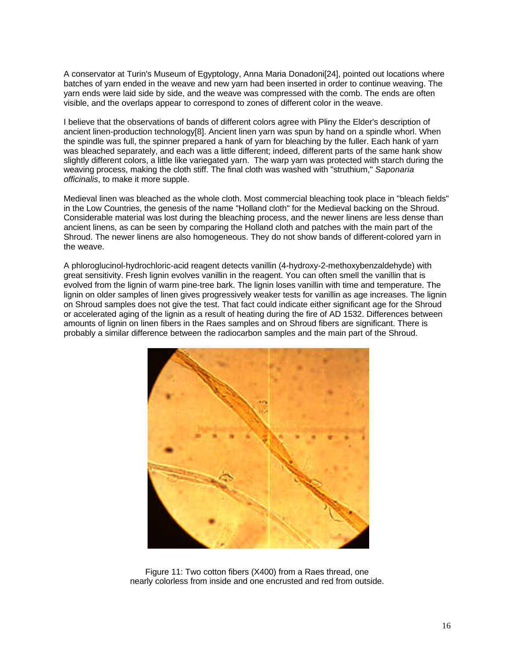A conservator at Turin's Museum of Egyptology, Anna Maria Donadoni[24], pointed out locations where batches of yarn ended in the weave and new yarn had been inserted in order to continue weaving. The yarn ends were laid side by side, and the weave was compressed with the comb. The ends are often visible, and the overlaps appear to correspond to zones of different color in the weave.

I believe that the observations of bands of different colors agree with Pliny the Elder's description of ancient linen-production technology[8]. Ancient linen yarn was spun by hand on a spindle whorl. When the spindle was full, the spinner prepared a hank of yarn for bleaching by the fuller. Each hank of yarn was bleached separately, and each was a little different; indeed, different parts of the same hank show slightly different colors, a little like variegated yarn. The warp yarn was protected with starch during the weaving process, making the cloth stiff. The final cloth was washed with "struthium," *Saponaria officinalis*, to make it more supple.

Medieval linen was bleached as the whole cloth. Most commercial bleaching took place in "bleach fields" in the Low Countries, the genesis of the name "Holland cloth" for the Medieval backing on the Shroud. Considerable material was lost during the bleaching process, and the newer linens are less dense than ancient linens, as can be seen by comparing the Holland cloth and patches with the main part of the Shroud. The newer linens are also homogeneous. They do not show bands of different-colored yarn in the weave.

A phloroglucinol-hydrochloric-acid reagent detects vanillin (4-hydroxy-2-methoxybenzaldehyde) with great sensitivity. Fresh lignin evolves vanillin in the reagent. You can often smell the vanillin that is evolved from the lignin of warm pine-tree bark. The lignin loses vanillin with time and temperature. The lignin on older samples of linen gives progressively weaker tests for vanillin as age increases. The lignin on Shroud samples does not give the test. That fact could indicate either significant age for the Shroud or accelerated aging of the lignin as a result of heating during the fire of AD 1532. Differences between amounts of lignin on linen fibers in the Raes samples and on Shroud fibers are significant. There is probably a similar difference between the radiocarbon samples and the main part of the Shroud.



Figure 11: Two cotton fibers (X400) from a Raes thread, one nearly colorless from inside and one encrusted and red from outside.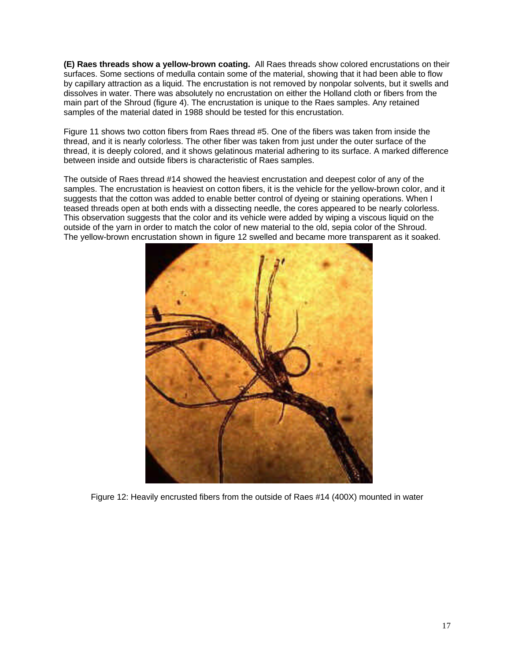**(E) Raes threads show a yellow-brown coating.** All Raes threads show colored encrustations on their surfaces. Some sections of medulla contain some of the material, showing that it had been able to flow by capillary attraction as a liquid. The encrustation is not removed by nonpolar solvents, but it swells and dissolves in water. There was absolutely no encrustation on either the Holland cloth or fibers from the main part of the Shroud (figure 4). The encrustation is unique to the Raes samples. Any retained samples of the material dated in 1988 should be tested for this encrustation.

Figure 11 shows two cotton fibers from Raes thread #5. One of the fibers was taken from inside the thread, and it is nearly colorless. The other fiber was taken from just under the outer surface of the thread, it is deeply colored, and it shows gelatinous material adhering to its surface. A marked difference between inside and outside fibers is characteristic of Raes samples.

The outside of Raes thread #14 showed the heaviest encrustation and deepest color of any of the samples. The encrustation is heaviest on cotton fibers, it is the vehicle for the yellow-brown color, and it suggests that the cotton was added to enable better control of dyeing or staining operations. When I teased threads open at both ends with a dissecting needle, the cores appeared to be nearly colorless. This observation suggests that the color and its vehicle were added by wiping a viscous liquid on the outside of the yarn in order to match the color of new material to the old, sepia color of the Shroud. The yellow-brown encrustation shown in figure 12 swelled and became more transparent as it soaked.



Figure 12: Heavily encrusted fibers from the outside of Raes #14 (400X) mounted in water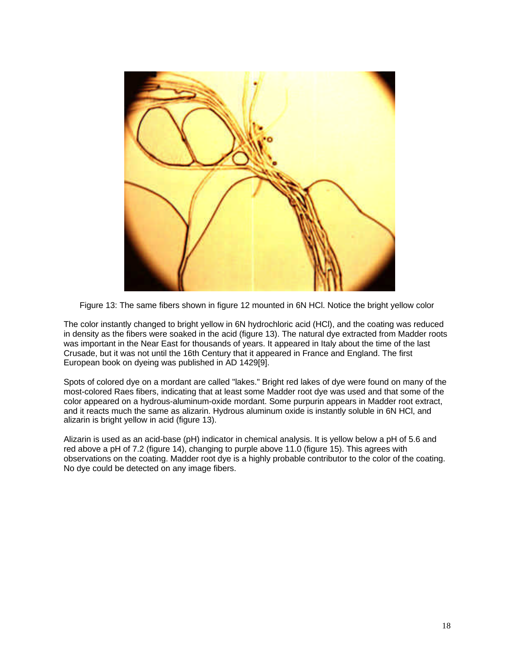

Figure 13: The same fibers shown in figure 12 mounted in 6N HCl. Notice the bright yellow color

The color instantly changed to bright yellow in 6N hydrochloric acid (HCl), and the coating was reduced in density as the fibers were soaked in the acid (figure 13). The natural dye extracted from Madder roots was important in the Near East for thousands of years. It appeared in Italy about the time of the last Crusade, but it was not until the 16th Century that it appeared in France and England. The first European book on dyeing was published in AD 1429[9].

Spots of colored dye on a mordant are called "lakes." Bright red lakes of dye were found on many of the most-colored Raes fibers, indicating that at least some Madder root dye was used and that some of the color appeared on a hydrous-aluminum-oxide mordant. Some purpurin appears in Madder root extract, and it reacts much the same as alizarin. Hydrous aluminum oxide is instantly soluble in 6N HCl, and alizarin is bright yellow in acid (figure 13).

Alizarin is used as an acid-base (pH) indicator in chemical analysis. It is yellow below a pH of 5.6 and red above a pH of 7.2 (figure 14), changing to purple above 11.0 (figure 15). This agrees with observations on the coating. Madder root dye is a highly probable contributor to the color of the coating. No dye could be detected on any image fibers.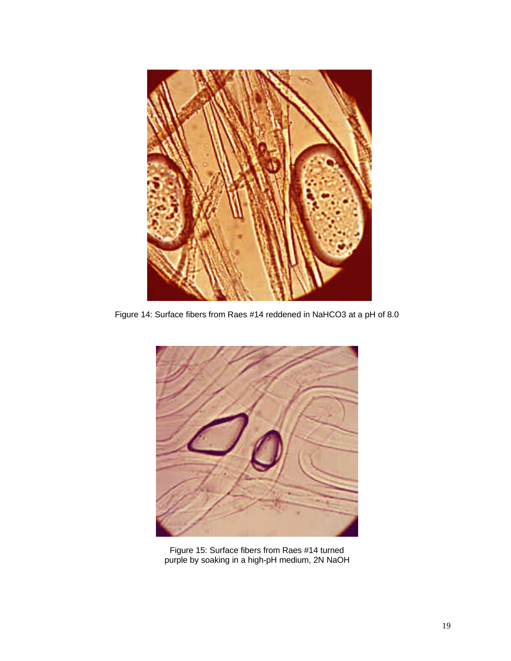

Figure 14: Surface fibers from Raes #14 reddened in NaHCO3 at a pH of 8.0



Figure 15: Surface fibers from Raes #14 turned purple by soaking in a high-pH medium, 2N NaOH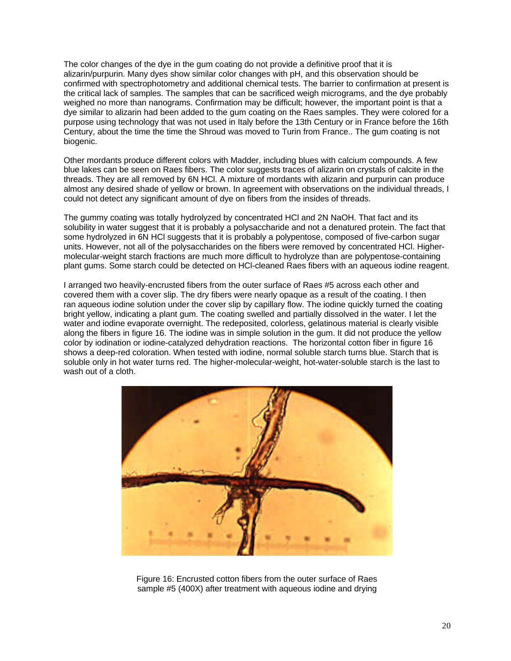The color changes of the dye in the gum coating do not provide a definitive proof that it is alizarin/purpurin. Many dyes show similar color changes with pH, and this observation should be confirmed with spectrophotometry and additional chemical tests. The barrier to confirmation at present is the critical lack of samples. The samples that can be sacrificed weigh micrograms, and the dye probably weighed no more than nanograms. Confirmation may be difficult; however, the important point is that a dye similar to alizarin had been added to the gum coating on the Raes samples. They were colored for a purpose using technology that was not used in Italy before the 13th Century or in France before the 16th Century, about the time the time the Shroud was moved to Turin from France.. The gum coating is not biogenic.

Other mordants produce different colors with Madder, including blues with calcium compounds. A few blue lakes can be seen on Raes fibers. The color suggests traces of alizarin on crystals of calcite in the threads. They are all removed by 6N HCl. A mixture of mordants with alizarin and purpurin can produce almost any desired shade of yellow or brown. In agreement with observations on the individual threads, I could not detect any significant amount of dye on fibers from the insides of threads.

The gummy coating was totally hydrolyzed by concentrated HCl and 2N NaOH. That fact and its solubility in water suggest that it is probably a polysaccharide and not a denatured protein. The fact that some hydrolyzed in 6N HCl suggests that it is probably a polypentose, composed of five-carbon sugar units. However, not all of the polysaccharides on the fibers were removed by concentrated HCl. Highermolecular-weight starch fractions are much more difficult to hydrolyze than are polypentose-containing plant gums. Some starch could be detected on HCl-cleaned Raes fibers with an aqueous iodine reagent.

I arranged two heavily-encrusted fibers from the outer surface of Raes #5 across each other and covered them with a cover slip. The dry fibers were nearly opaque as a result of the coating. I then ran aqueous iodine solution under the cover slip by capillary flow. The iodine quickly turned the coating bright yellow, indicating a plant gum. The coating swelled and partially dissolved in the water. I let the water and iodine evaporate overnight. The redeposited, colorless, gelatinous material is clearly visible along the fibers in figure 16. The iodine was in simple solution in the gum. It did not produce the yellow color by iodination or iodine-catalyzed dehydration reactions. The horizontal cotton fiber in figure 16 shows a deep-red coloration. When tested with iodine, normal soluble starch turns blue. Starch that is soluble only in hot water turns red. The higher-molecular-weight, hot-water-soluble starch is the last to wash out of a cloth.



Figure 16: Encrusted cotton fibers from the outer surface of Raes sample #5 (400X) after treatment with aqueous iodine and drying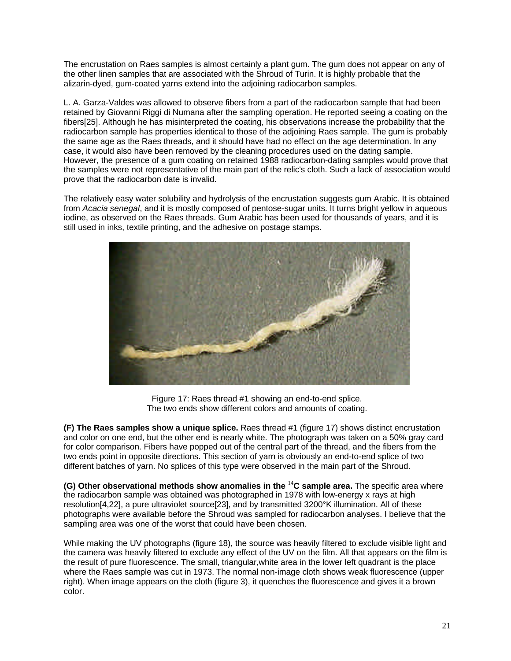The encrustation on Raes samples is almost certainly a plant gum. The gum does not appear on any of the other linen samples that are associated with the Shroud of Turin. It is highly probable that the alizarin-dyed, gum-coated yarns extend into the adjoining radiocarbon samples.

L. A. Garza-Valdes was allowed to observe fibers from a part of the radiocarbon sample that had been retained by Giovanni Riggi di Numana after the sampling operation. He reported seeing a coating on the fibers[25]. Although he has misinterpreted the coating, his observations increase the probability that the radiocarbon sample has properties identical to those of the adjoining Raes sample. The gum is probably the same age as the Raes threads, and it should have had no effect on the age determination. In any case, it would also have been removed by the cleaning procedures used on the dating sample. However, the presence of a gum coating on retained 1988 radiocarbon-dating samples would prove that the samples were not representative of the main part of the relic's cloth. Such a lack of association would prove that the radiocarbon date is invalid.

The relatively easy water solubility and hydrolysis of the encrustation suggests gum Arabic. It is obtained from *Acacia senegal*, and it is mostly composed of pentose-sugar units. It turns bright yellow in aqueous iodine, as observed on the Raes threads. Gum Arabic has been used for thousands of years, and it is still used in inks, textile printing, and the adhesive on postage stamps.



Figure 17: Raes thread #1 showing an end-to-end splice. The two ends show different colors and amounts of coating.

**(F) The Raes samples show a unique splice.** Raes thread #1 (figure 17) shows distinct encrustation and color on one end, but the other end is nearly white. The photograph was taken on a 50% gray card for color comparison. Fibers have popped out of the central part of the thread, and the fibers from the two ends point in opposite directions. This section of yarn is obviously an end-to-end splice of two different batches of yarn. No splices of this type were observed in the main part of the Shroud.

**(G) Other observational methods show anomalies in the** <sup>14</sup>**C sample area.** The specific area where the radiocarbon sample was obtained was photographed in 1978 with low-energy x rays at high resolution[4,22], a pure ultraviolet source[23], and by transmitted 3200°K illumination. All of these photographs were available before the Shroud was sampled for radiocarbon analyses. I believe that the sampling area was one of the worst that could have been chosen.

While making the UV photographs (figure 18), the source was heavily filtered to exclude visible light and the camera was heavily filtered to exclude any effect of the UV on the film. All that appears on the film is the result of pure fluorescence. The small, triangular,white area in the lower left quadrant is the place where the Raes sample was cut in 1973. The normal non-image cloth shows weak fluorescence (upper right). When image appears on the cloth (figure 3), it quenches the fluorescence and gives it a brown color.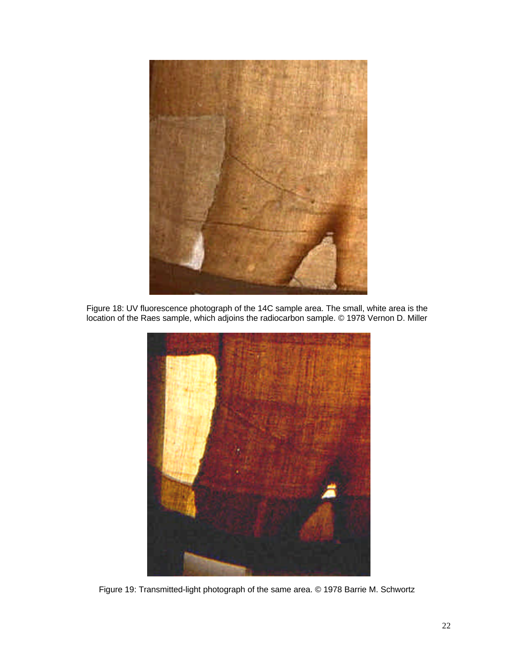

Figure 18: UV fluorescence photograph of the 14C sample area. The small, white area is the location of the Raes sample, which adjoins the radiocarbon sample. © 1978 Vernon D. Miller



Figure 19: Transmitted-light photograph of the same area. © 1978 Barrie M. Schwortz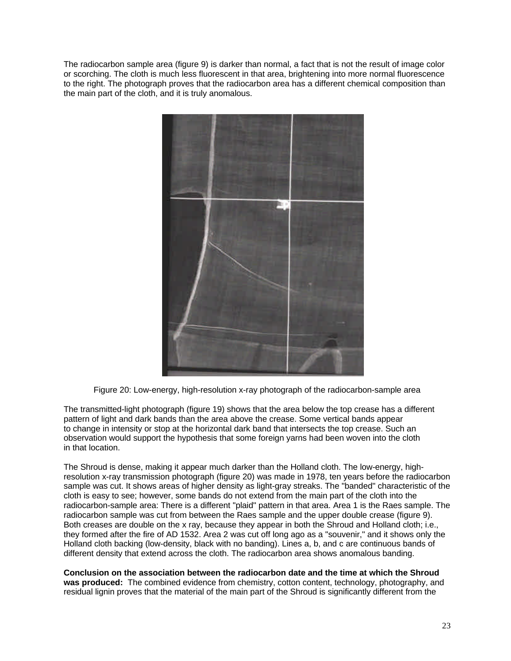The radiocarbon sample area (figure 9) is darker than normal, a fact that is not the result of image color or scorching. The cloth is much less fluorescent in that area, brightening into more normal fluorescence to the right. The photograph proves that the radiocarbon area has a different chemical composition than the main part of the cloth, and it is truly anomalous.



Figure 20: Low-energy, high-resolution x-ray photograph of the radiocarbon-sample area

The transmitted-light photograph (figure 19) shows that the area below the top crease has a different pattern of light and dark bands than the area above the crease. Some vertical bands appear to change in intensity or stop at the horizontal dark band that intersects the top crease. Such an observation would support the hypothesis that some foreign yarns had been woven into the cloth in that location.

The Shroud is dense, making it appear much darker than the Holland cloth. The low-energy, highresolution x-ray transmission photograph (figure 20) was made in 1978, ten years before the radiocarbon sample was cut. It shows areas of higher density as light-gray streaks. The "banded" characteristic of the cloth is easy to see; however, some bands do not extend from the main part of the cloth into the radiocarbon-sample area: There is a different "plaid" pattern in that area. Area 1 is the Raes sample. The radiocarbon sample was cut from between the Raes sample and the upper double crease (figure 9). Both creases are double on the x ray, because they appear in both the Shroud and Holland cloth; i.e., they formed after the fire of AD 1532. Area 2 was cut off long ago as a "souvenir," and it shows only the Holland cloth backing (low-density, black with no banding). Lines a, b, and c are continuous bands of different density that extend across the cloth. The radiocarbon area shows anomalous banding.

**Conclusion on the association between the radiocarbon date and the time at which the Shroud was produced:** The combined evidence from chemistry, cotton content, technology, photography, and residual lignin proves that the material of the main part of the Shroud is significantly different from the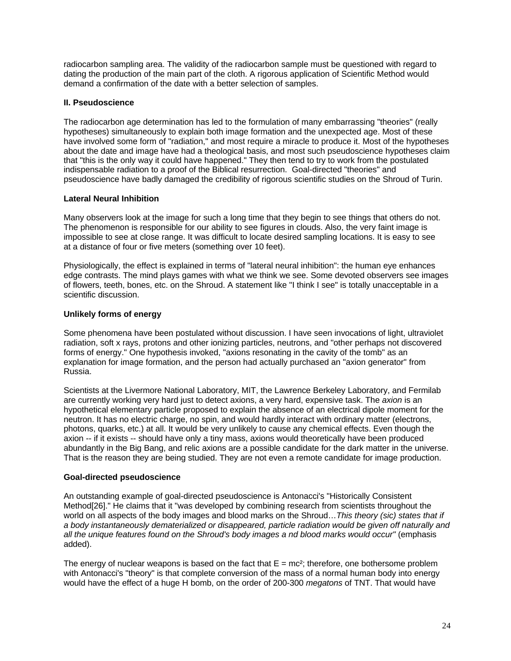radiocarbon sampling area. The validity of the radiocarbon sample must be questioned with regard to dating the production of the main part of the cloth. A rigorous application of Scientific Method would demand a confirmation of the date with a better selection of samples.

# **II. Pseudoscience**

The radiocarbon age determination has led to the formulation of many embarrassing "theories" (really hypotheses) simultaneously to explain both image formation and the unexpected age. Most of these have involved some form of "radiation," and most require a miracle to produce it. Most of the hypotheses about the date and image have had a theological basis, and most such pseudoscience hypotheses claim that "this is the only way it could have happened." They then tend to try to work from the postulated indispensable radiation to a proof of the Biblical resurrection. Goal-directed "theories" and pseudoscience have badly damaged the credibility of rigorous scientific studies on the Shroud of Turin.

### **Lateral Neural Inhibition**

Many observers look at the image for such a long time that they begin to see things that others do not. The phenomenon is responsible for our ability to see figures in clouds. Also, the very faint image is impossible to see at close range. It was difficult to locate desired sampling locations. It is easy to see at a distance of four or five meters (something over 10 feet).

Physiologically, the effect is explained in terms of "lateral neural inhibition": the human eye enhances edge contrasts. The mind plays games with what we think we see. Some devoted observers see images of flowers, teeth, bones, etc. on the Shroud. A statement like "I think I see" is totally unacceptable in a scientific discussion.

# **Unlikely forms of energy**

Some phenomena have been postulated without discussion. I have seen invocations of light, ultraviolet radiation, soft x rays, protons and other ionizing particles, neutrons, and "other perhaps not discovered forms of energy." One hypothesis invoked, "axions resonating in the cavity of the tomb" as an explanation for image formation, and the person had actually purchased an "axion generator" from Russia.

Scientists at the Livermore National Laboratory, MIT, the Lawrence Berkeley Laboratory, and Fermilab are currently working very hard just to detect axions, a very hard, expensive task. The *axion* is an hypothetical elementary particle proposed to explain the absence of an electrical dipole moment for the neutron. It has no electric charge, no spin, and would hardly interact with ordinary matter (electrons, photons, quarks, etc.) at all. It would be very unlikely to cause any chemical effects. Even though the axion -- if it exists -- should have only a tiny mass, axions would theoretically have been produced abundantly in the Big Bang, and relic axions are a possible candidate for the dark matter in the universe. That is the reason they are being studied. They are not even a remote candidate for image production.

#### **Goal-directed pseudoscience**

An outstanding example of goal-directed pseudoscience is Antonacci's "Historically Consistent Method[26]." He claims that it "was developed by combining research from scientists throughout the world on all aspects of the body images and blood marks on the Shroud…*This theory (sic) states that if a body instantaneously dematerialized or disappeared, particle radiation would be given off naturally and all the unique features found on the Shroud's body images a nd blood marks would occur"* (emphasis added).

The energy of nuclear weapons is based on the fact that  $E = mc^2$ ; therefore, one bothersome problem with Antonacci's "theory" is that complete conversion of the mass of a normal human body into energy would have the effect of a huge H bomb, on the order of 200-300 *megatons* of TNT. That would have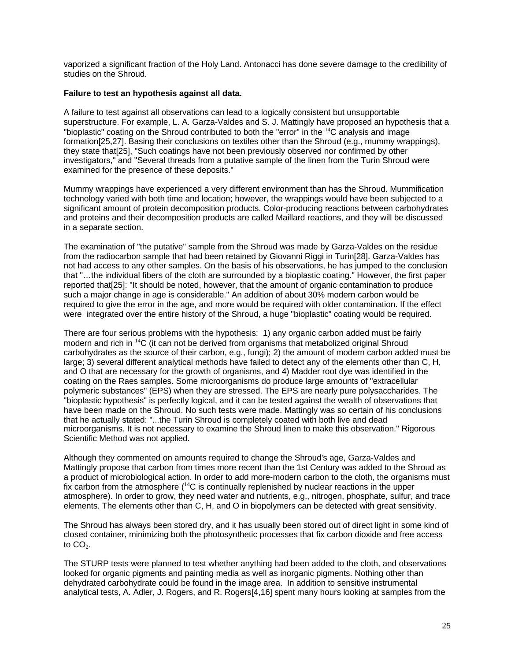vaporized a significant fraction of the Holy Land. Antonacci has done severe damage to the credibility of studies on the Shroud.

### **Failure to test an hypothesis against all data.**

A failure to test against all observations can lead to a logically consistent but unsupportable superstructure. For example, L. A. Garza-Valdes and S. J. Mattingly have proposed an hypothesis that a "bioplastic" coating on the Shroud contributed to both the "error" in the  $14C$  analysis and image formation[25,27]. Basing their conclusions on textiles other than the Shroud (e.g., mummy wrappings), they state that[25], "Such coatings have not been previously observed nor confirmed by other investigators," and "Several threads from a putative sample of the linen from the Turin Shroud were examined for the presence of these deposits."

Mummy wrappings have experienced a very different environment than has the Shroud. Mummification technology varied with both time and location; however, the wrappings would have been subjected to a significant amount of protein decomposition products. Color-producing reactions between carbohydrates and proteins and their decomposition products are called Maillard reactions, and they will be discussed in a separate section.

The examination of "the putative" sample from the Shroud was made by Garza-Valdes on the residue from the radiocarbon sample that had been retained by Giovanni Riggi in Turin[28]. Garza-Valdes has not had access to any other samples. On the basis of his observations, he has jumped to the conclusion that "…the individual fibers of the cloth are surrounded by a bioplastic coating." However, the first paper reported that[25]: "It should be noted, however, that the amount of organic contamination to produce such a major change in age is considerable." An addition of about 30% modern carbon would be required to give the error in the age, and more would be required with older contamination. If the effect were integrated over the entire history of the Shroud, a huge "bioplastic" coating would be required.

There are four serious problems with the hypothesis: 1) any organic carbon added must be fairly modern and rich in <sup>14</sup>C (it can not be derived from organisms that metabolized original Shroud carbohydrates as the source of their carbon, e.g., fungi); 2) the amount of modern carbon added must be large; 3) several different analytical methods have failed to detect any of the elements other than C, H, and O that are necessary for the growth of organisms, and 4) Madder root dye was identified in the coating on the Raes samples. Some microorganisms do produce large amounts of "extracellular polymeric substances" (EPS) when they are stressed. The EPS are nearly pure polysaccharides. The "bioplastic hypothesis" is perfectly logical, and it can be tested against the wealth of observations that have been made on the Shroud. No such tests were made. Mattingly was so certain of his conclusions that he actually stated: "...the Turin Shroud is completely coated with both live and dead microorganisms. It is not necessary to examine the Shroud linen to make this observation." Rigorous Scientific Method was not applied.

Although they commented on amounts required to change the Shroud's age, Garza-Valdes and Mattingly propose that carbon from times more recent than the 1st Century was added to the Shroud as a product of microbiological action. In order to add more-modern carbon to the cloth, the organisms must fix carbon from the atmosphere  $(14)$ C is continually replenished by nuclear reactions in the upper atmosphere). In order to grow, they need water and nutrients, e.g., nitrogen, phosphate, sulfur, and trace elements. The elements other than C, H, and O in biopolymers can be detected with great sensitivity.

The Shroud has always been stored dry, and it has usually been stored out of direct light in some kind of closed container, minimizing both the photosynthetic processes that fix carbon dioxide and free access to  $CO<sub>2</sub>$ .

The STURP tests were planned to test whether anything had been added to the cloth, and observations looked for organic pigments and painting media as well as inorganic pigments. Nothing other than dehydrated carbohydrate could be found in the image area. In addition to sensitive instrumental analytical tests, A. Adler, J. Rogers, and R. Rogers[4,16] spent many hours looking at samples from the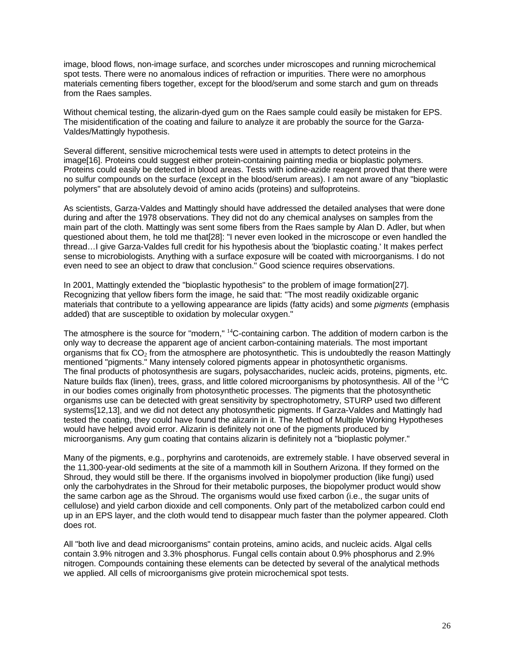image, blood flows, non-image surface, and scorches under microscopes and running microchemical spot tests. There were no anomalous indices of refraction or impurities. There were no amorphous materials cementing fibers together, except for the blood/serum and some starch and gum on threads from the Raes samples.

Without chemical testing, the alizarin-dyed gum on the Raes sample could easily be mistaken for EPS. The misidentification of the coating and failure to analyze it are probably the source for the Garza-Valdes/Mattingly hypothesis.

Several different, sensitive microchemical tests were used in attempts to detect proteins in the image[16]. Proteins could suggest either protein-containing painting media or bioplastic polymers. Proteins could easily be detected in blood areas. Tests with iodine-azide reagent proved that there were no sulfur compounds on the surface (except in the blood/serum areas). I am not aware of any "bioplastic polymers" that are absolutely devoid of amino acids (proteins) and sulfoproteins.

As scientists, Garza-Valdes and Mattingly should have addressed the detailed analyses that were done during and after the 1978 observations. They did not do any chemical analyses on samples from the main part of the cloth. Mattingly was sent some fibers from the Raes sample by Alan D. Adler, but when questioned about them, he told me that[28]: "I never even looked in the microscope or even handled the thread…I give Garza-Valdes full credit for his hypothesis about the 'bioplastic coating.' It makes perfect sense to microbiologists. Anything with a surface exposure will be coated with microorganisms. I do not even need to see an object to draw that conclusion." Good science requires observations.

In 2001, Mattingly extended the "bioplastic hypothesis" to the problem of image formation[27]. Recognizing that yellow fibers form the image, he said that: "The most readily oxidizable organic materials that contribute to a yellowing appearance are lipids (fatty acids) and some *pigments* (emphasis added) that are susceptible to oxidation by molecular oxygen."

The atmosphere is the source for "modern," <sup>14</sup>C-containing carbon. The addition of modern carbon is the only way to decrease the apparent age of ancient carbon-containing materials. The most important organisms that fix  $CO<sub>2</sub>$  from the atmosphere are photosynthetic. This is undoubtedly the reason Mattingly mentioned "pigments." Many intensely colored pigments appear in photosynthetic organisms. The final products of photosynthesis are sugars, polysaccharides, nucleic acids, proteins, pigments, etc. Nature builds flax (linen), trees, grass, and little colored microorganisms by photosynthesis. All of the <sup>14</sup>C in our bodies comes originally from photosynthetic processes. The pigments that the photosynthetic organisms use can be detected with great sensitivity by spectrophotometry, STURP used two different systems[12,13], and we did not detect any photosynthetic pigments. If Garza-Valdes and Mattingly had tested the coating, they could have found the alizarin in it. The Method of Multiple Working Hypotheses would have helped avoid error. Alizarin is definitely not one of the pigments produced by microorganisms. Any gum coating that contains alizarin is definitely not a "bioplastic polymer."

Many of the pigments, e.g., porphyrins and carotenoids, are extremely stable. I have observed several in the 11,300-year-old sediments at the site of a mammoth kill in Southern Arizona. If they formed on the Shroud, they would still be there. If the organisms involved in biopolymer production (like fungi) used only the carbohydrates in the Shroud for their metabolic purposes, the biopolymer product would show the same carbon age as the Shroud. The organisms would use fixed carbon (i.e., the sugar units of cellulose) and yield carbon dioxide and cell components. Only part of the metabolized carbon could end up in an EPS layer, and the cloth would tend to disappear much faster than the polymer appeared. Cloth does rot.

All "both live and dead microorganisms" contain proteins, amino acids, and nucleic acids. Algal cells contain 3.9% nitrogen and 3.3% phosphorus. Fungal cells contain about 0.9% phosphorus and 2.9% nitrogen. Compounds containing these elements can be detected by several of the analytical methods we applied. All cells of microorganisms give protein microchemical spot tests.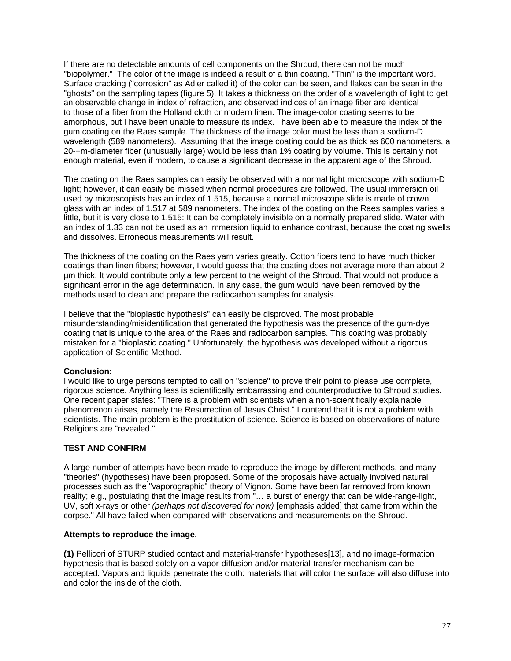If there are no detectable amounts of cell components on the Shroud, there can not be much "biopolymer." The color of the image is indeed a result of a thin coating. "Thin" is the important word. Surface cracking ("corrosion" as Adler called it) of the color can be seen, and flakes can be seen in the "ghosts" on the sampling tapes (figure 5). It takes a thickness on the order of a wavelength of light to get an observable change in index of refraction, and observed indices of an image fiber are identical to those of a fiber from the Holland cloth or modern linen. The image-color coating seems to be amorphous, but I have been unable to measure its index. I have been able to measure the index of the gum coating on the Raes sample. The thickness of the image color must be less than a sodium-D wavelength (589 nanometers). Assuming that the image coating could be as thick as 600 nanometers, a 20-÷m-diameter fiber (unusually large) would be less than 1% coating by volume. This is certainly not enough material, even if modern, to cause a significant decrease in the apparent age of the Shroud.

The coating on the Raes samples can easily be observed with a normal light microscope with sodium-D light; however, it can easily be missed when normal procedures are followed. The usual immersion oil used by microscopists has an index of 1.515, because a normal microscope slide is made of crown glass with an index of 1.517 at 589 nanometers. The index of the coating on the Raes samples varies a little, but it is very close to 1.515: It can be completely invisible on a normally prepared slide. Water with an index of 1.33 can not be used as an immersion liquid to enhance contrast, because the coating swells and dissolves. Erroneous measurements will result.

The thickness of the coating on the Raes yarn varies greatly. Cotton fibers tend to have much thicker coatings than linen fibers; however, I would guess that the coating does not average more than about 2 µm thick. It would contribute only a few percent to the weight of the Shroud. That would not produce a significant error in the age determination. In any case, the gum would have been removed by the methods used to clean and prepare the radiocarbon samples for analysis.

I believe that the "bioplastic hypothesis" can easily be disproved. The most probable misunderstanding/misidentification that generated the hypothesis was the presence of the gum-dye coating that is unique to the area of the Raes and radiocarbon samples. This coating was probably mistaken for a "bioplastic coating." Unfortunately, the hypothesis was developed without a rigorous application of Scientific Method.

# **Conclusion:**

I would like to urge persons tempted to call on "science" to prove their point to please use complete, rigorous science. Anything less is scientifically embarrassing and counterproductive to Shroud studies. One recent paper states: "There is a problem with scientists when a non-scientifically explainable phenomenon arises, namely the Resurrection of Jesus Christ." I contend that it is not a problem with scientists. The main problem is the prostitution of science. Science is based on observations of nature: Religions are "revealed."

#### **TEST AND CONFIRM**

A large number of attempts have been made to reproduce the image by different methods, and many "theories" (hypotheses) have been proposed. Some of the proposals have actually involved natural processes such as the "vaporographic" theory of Vignon. Some have been far removed from known reality; e.g., postulating that the image results from "… a burst of energy that can be wide-range-light, UV, soft x-rays or other *(perhaps not discovered for now)* [emphasis added] that came from within the corpse." All have failed when compared with observations and measurements on the Shroud.

#### **Attempts to reproduce the image.**

**(1)** Pellicori of STURP studied contact and material-transfer hypotheses[13], and no image-formation hypothesis that is based solely on a vapor-diffusion and/or material-transfer mechanism can be accepted. Vapors and liquids penetrate the cloth: materials that will color the surface will also diffuse into and color the inside of the cloth.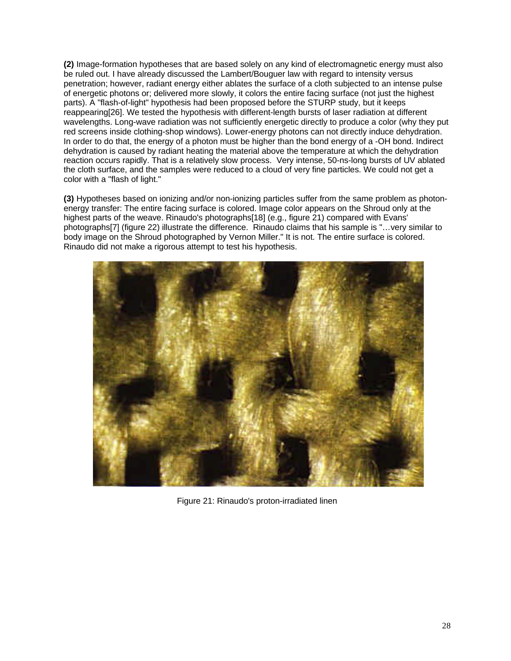**(2)** Image-formation hypotheses that are based solely on any kind of electromagnetic energy must also be ruled out. I have already discussed the Lambert/Bouguer law with regard to intensity versus penetration; however, radiant energy either ablates the surface of a cloth subjected to an intense pulse of energetic photons or; delivered more slowly, it colors the entire facing surface (not just the highest parts). A "flash-of-light" hypothesis had been proposed before the STURP study, but it keeps reappearing[26]. We tested the hypothesis with different-length bursts of laser radiation at different wavelengths. Long-wave radiation was not sufficiently energetic directly to produce a color (why they put red screens inside clothing-shop windows). Lower-energy photons can not directly induce dehydration. In order to do that, the energy of a photon must be higher than the bond energy of a -OH bond. Indirect dehydration is caused by radiant heating the material above the temperature at which the dehydration reaction occurs rapidly. That is a relatively slow process. Very intense, 50-ns-long bursts of UV ablated the cloth surface, and the samples were reduced to a cloud of very fine particles. We could not get a color with a "flash of light."

**(3)** Hypotheses based on ionizing and/or non-ionizing particles suffer from the same problem as photonenergy transfer: The entire facing surface is colored. Image color appears on the Shroud only at the highest parts of the weave. Rinaudo's photographs[18] (e.g., figure 21) compared with Evans' photographs[7] (figure 22) illustrate the difference. Rinaudo claims that his sample is "…very similar to body image on the Shroud photographed by Vernon Miller." It is not. The entire surface is colored. Rinaudo did not make a rigorous attempt to test his hypothesis.



Figure 21: Rinaudo's proton-irradiated linen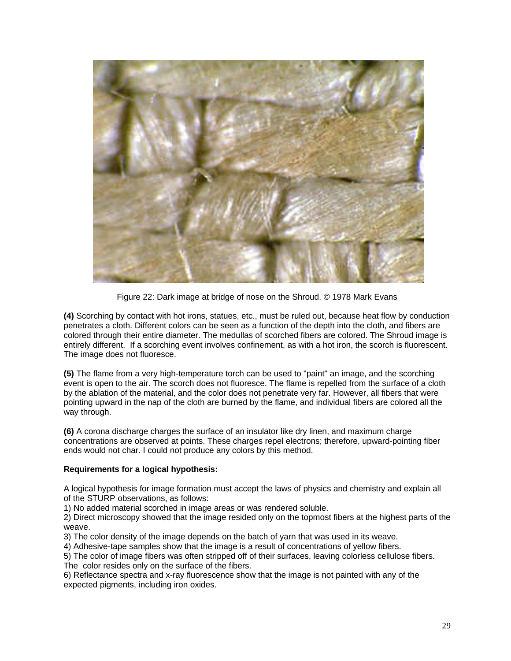

Figure 22: Dark image at bridge of nose on the Shroud. © 1978 Mark Evans

**(4)** Scorching by contact with hot irons, statues, etc., must be ruled out, because heat flow by conduction penetrates a cloth. Different colors can be seen as a function of the depth into the cloth, and fibers are colored through their entire diameter. The medullas of scorched fibers are colored. The Shroud image is entirely different. If a scorching event involves confinement, as with a hot iron, the scorch is fluorescent. The image does not fluoresce.

**(5)** The flame from a very high-temperature torch can be used to "paint" an image, and the scorching event is open to the air. The scorch does not fluoresce. The flame is repelled from the surface of a cloth by the ablation of the material, and the color does not penetrate very far. However, all fibers that were pointing upward in the nap of the cloth are burned by the flame, and individual fibers are colored all the way through.

**(6)** A corona discharge charges the surface of an insulator like dry linen, and maximum charge concentrations are observed at points. These charges repel electrons; therefore, upward-pointing fiber ends would not char. I could not produce any colors by this method.

# **Requirements for a logical hypothesis:**

A logical hypothesis for image formation must accept the laws of physics and chemistry and explain all of the STURP observations, as follows:

1) No added material scorched in image areas or was rendered soluble.

2) Direct microscopy showed that the image resided only on the topmost fibers at the highest parts of the weave.

3) The color density of the image depends on the batch of yarn that was used in its weave.

4) Adhesive-tape samples show that the image is a result of concentrations of yellow fibers.

5) The color of image fibers was often stripped off of their surfaces, leaving colorless cellulose fibers. The color resides only on the surface of the fibers.

6) Reflectance spectra and x-ray fluorescence show that the image is not painted with any of the expected pigments, including iron oxides.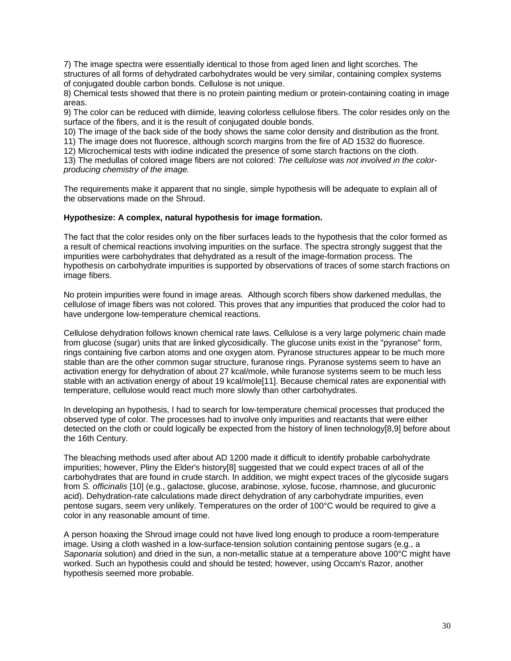7) The image spectra were essentially identical to those from aged linen and light scorches. The structures of all forms of dehydrated carbohydrates would be very similar, containing complex systems of conjugated double carbon bonds. Cellulose is not unique.

8) Chemical tests showed that there is no protein painting medium or protein-containing coating in image areas.

9) The color can be reduced with diimide, leaving colorless cellulose fibers. The color resides only on the surface of the fibers, and it is the result of conjugated double bonds.

10) The image of the back side of the body shows the same color density and distribution as the front.

11) The image does not fluoresce, although scorch margins from the fire of AD 1532 do fluoresce.

12) Microchemical tests with iodine indicated the presence of some starch fractions on the cloth.

13) The medullas of colored image fibers are not colored: *The cellulose was not involved in the colorproducing chemistry of the image.*

The requirements make it apparent that no single, simple hypothesis will be adequate to explain all of the observations made on the Shroud.

#### **Hypothesize: A complex, natural hypothesis for image formation.**

The fact that the color resides only on the fiber surfaces leads to the hypothesis that the color formed as a result of chemical reactions involving impurities on the surface. The spectra strongly suggest that the impurities were carbohydrates that dehydrated as a result of the image-formation process. The hypothesis on carbohydrate impurities is supported by observations of traces of some starch fractions on image fibers.

No protein impurities were found in image areas. Although scorch fibers show darkened medullas, the cellulose of image fibers was not colored. This proves that any impurities that produced the color had to have undergone low-temperature chemical reactions.

Cellulose dehydration follows known chemical rate laws. Cellulose is a very large polymeric chain made from glucose (sugar) units that are linked glycosidically. The glucose units exist in the "pyranose" form, rings containing five carbon atoms and one oxygen atom. Pyranose structures appear to be much more stable than are the other common sugar structure, furanose rings. Pyranose systems seem to have an activation energy for dehydration of about 27 kcal/mole, while furanose systems seem to be much less stable with an activation energy of about 19 kcal/mole[11]. Because chemical rates are exponential with temperature, cellulose would react much more slowly than other carbohydrates.

In developing an hypothesis, I had to search for low-temperature chemical processes that produced the observed type of color. The processes had to involve only impurities and reactants that were either detected on the cloth or could logically be expected from the history of linen technology[8,9] before about the 16th Century.

The bleaching methods used after about AD 1200 made it difficult to identify probable carbohydrate impurities; however, Pliny the Elder's history[8] suggested that we could expect traces of all of the carbohydrates that are found in crude starch. In addition, we might expect traces of the glycoside sugars from *S. officinalis* [10] (e.g., galactose, glucose, arabinose, xylose, fucose, rhamnose, and glucuronic acid). Dehydration-rate calculations made direct dehydration of any carbohydrate impurities, even pentose sugars, seem very unlikely. Temperatures on the order of 100°C would be required to give a color in any reasonable amount of time.

A person hoaxing the Shroud image could not have lived long enough to produce a room-temperature image. Using a cloth washed in a low-surface-tension solution containing pentose sugars (e.g., a *Saponaria* solution) and dried in the sun, a non-metallic statue at a temperature above 100°C might have worked. Such an hypothesis could and should be tested; however, using Occam's Razor, another hypothesis seemed more probable.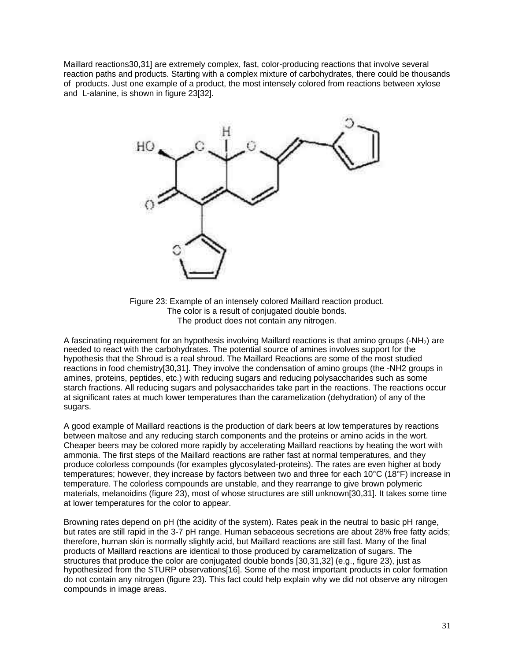Maillard reactions30,31] are extremely complex, fast, color-producing reactions that involve several reaction paths and products. Starting with a complex mixture of carbohydrates, there could be thousands of products. Just one example of a product, the most intensely colored from reactions between xylose and L-alanine, is shown in figure 23[32].



Figure 23: Example of an intensely colored Maillard reaction product. The color is a result of conjugated double bonds. The product does not contain any nitrogen.

A fascinating requirement for an hypothesis involving Maillard reactions is that amino groups  $(-NH<sub>2</sub>)$  are needed to react with the carbohydrates. The potential source of amines involves support for the hypothesis that the Shroud is a real shroud. The Maillard Reactions are some of the most studied reactions in food chemistry[30,31]. They involve the condensation of amino groups (the -NH2 groups in amines, proteins, peptides, etc.) with reducing sugars and reducing polysaccharides such as some starch fractions. All reducing sugars and polysaccharides take part in the reactions. The reactions occur at significant rates at much lower temperatures than the caramelization (dehydration) of any of the sugars.

A good example of Maillard reactions is the production of dark beers at low temperatures by reactions between maltose and any reducing starch components and the proteins or amino acids in the wort. Cheaper beers may be colored more rapidly by accelerating Maillard reactions by heating the wort with ammonia. The first steps of the Maillard reactions are rather fast at normal temperatures, and they produce colorless compounds (for examples glycosylated-proteins). The rates are even higher at body temperatures; however, they increase by factors between two and three for each 10°C (18°F) increase in temperature. The colorless compounds are unstable, and they rearrange to give brown polymeric materials, melanoidins (figure 23), most of whose structures are still unknown[30,31]. It takes some time at lower temperatures for the color to appear.

Browning rates depend on pH (the acidity of the system). Rates peak in the neutral to basic pH range, but rates are still rapid in the 3-7 pH range. Human sebaceous secretions are about 28% free fatty acids; therefore, human skin is normally slightly acid, but Maillard reactions are still fast. Many of the final products of Maillard reactions are identical to those produced by caramelization of sugars. The structures that produce the color are conjugated double bonds [30,31,32] (e.g., figure 23), just as hypothesized from the STURP observations[16]. Some of the most important products in color formation do not contain any nitrogen (figure 23). This fact could help explain why we did not observe any nitrogen compounds in image areas.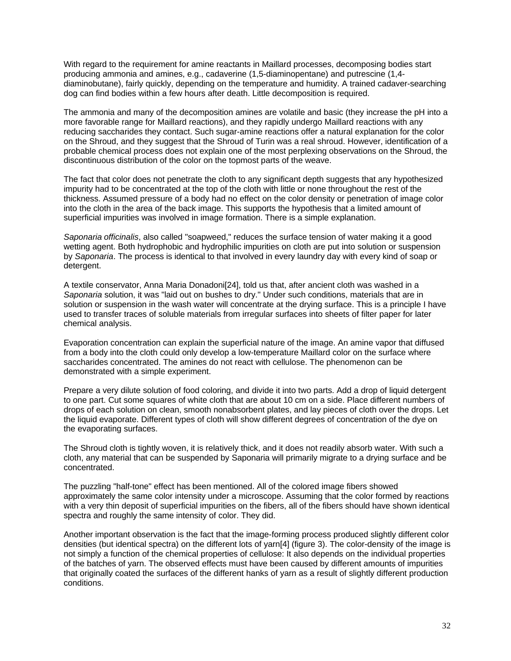With regard to the requirement for amine reactants in Maillard processes, decomposing bodies start producing ammonia and amines, e.g., cadaverine (1,5-diaminopentane) and putrescine (1,4 diaminobutane), fairly quickly, depending on the temperature and humidity. A trained cadaver-searching dog can find bodies within a few hours after death. Little decomposition is required.

The ammonia and many of the decomposition amines are volatile and basic (they increase the pH into a more favorable range for Maillard reactions), and they rapidly undergo Maillard reactions with any reducing saccharides they contact. Such sugar-amine reactions offer a natural explanation for the color on the Shroud, and they suggest that the Shroud of Turin was a real shroud. However, identification of a probable chemical process does not explain one of the most perplexing observations on the Shroud, the discontinuous distribution of the color on the topmost parts of the weave.

The fact that color does not penetrate the cloth to any significant depth suggests that any hypothesized impurity had to be concentrated at the top of the cloth with little or none throughout the rest of the thickness. Assumed pressure of a body had no effect on the color density or penetration of image color into the cloth in the area of the back image. This supports the hypothesis that a limited amount of superficial impurities was involved in image formation. There is a simple explanation.

*Saponaria officinalis*, also called "soapweed," reduces the surface tension of water making it a good wetting agent. Both hydrophobic and hydrophilic impurities on cloth are put into solution or suspension by *Saponaria*. The process is identical to that involved in every laundry day with every kind of soap or detergent.

A textile conservator, Anna Maria Donadoni[24], told us that, after ancient cloth was washed in a *Saponaria* solution, it was "laid out on bushes to dry." Under such conditions, materials that are in solution or suspension in the wash water will concentrate at the drying surface. This is a principle I have used to transfer traces of soluble materials from irregular surfaces into sheets of filter paper for later chemical analysis.

Evaporation concentration can explain the superficial nature of the image. An amine vapor that diffused from a body into the cloth could only develop a low-temperature Maillard color on the surface where saccharides concentrated. The amines do not react with cellulose. The phenomenon can be demonstrated with a simple experiment.

Prepare a very dilute solution of food coloring, and divide it into two parts. Add a drop of liquid detergent to one part. Cut some squares of white cloth that are about 10 cm on a side. Place different numbers of drops of each solution on clean, smooth nonabsorbent plates, and lay pieces of cloth over the drops. Let the liquid evaporate. Different types of cloth will show different degrees of concentration of the dye on the evaporating surfaces.

The Shroud cloth is tightly woven, it is relatively thick, and it does not readily absorb water. With such a cloth, any material that can be suspended by Saponaria will primarily migrate to a drying surface and be concentrated.

The puzzling "half-tone" effect has been mentioned. All of the colored image fibers showed approximately the same color intensity under a microscope. Assuming that the color formed by reactions with a very thin deposit of superficial impurities on the fibers, all of the fibers should have shown identical spectra and roughly the same intensity of color. They did.

Another important observation is the fact that the image-forming process produced slightly different color densities (but identical spectra) on the different lots of yarn[4] (figure 3). The color-density of the image is not simply a function of the chemical properties of cellulose: It also depends on the individual properties of the batches of yarn. The observed effects must have been caused by different amounts of impurities that originally coated the surfaces of the different hanks of yarn as a result of slightly different production conditions.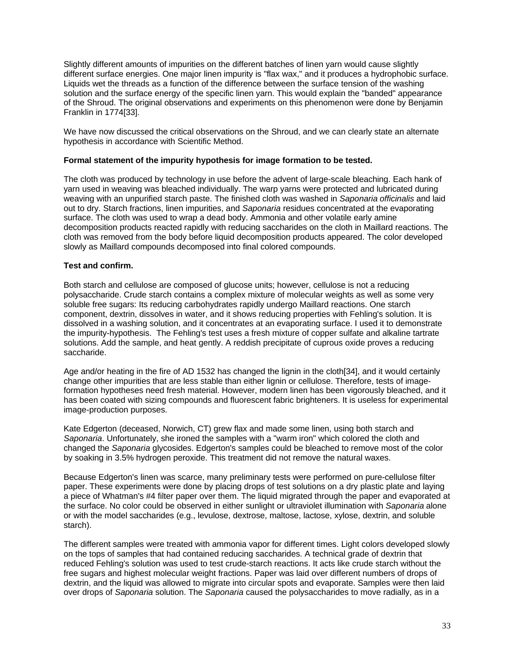Slightly different amounts of impurities on the different batches of linen yarn would cause slightly different surface energies. One major linen impurity is "flax wax," and it produces a hydrophobic surface. Liquids wet the threads as a function of the difference between the surface tension of the washing solution and the surface energy of the specific linen yarn. This would explain the "banded" appearance of the Shroud. The original observations and experiments on this phenomenon were done by Benjamin Franklin in 1774[33].

We have now discussed the critical observations on the Shroud, and we can clearly state an alternate hypothesis in accordance with Scientific Method.

### **Formal statement of the impurity hypothesis for image formation to be tested.**

The cloth was produced by technology in use before the advent of large-scale bleaching. Each hank of yarn used in weaving was bleached individually. The warp yarns were protected and lubricated during weaving with an unpurified starch paste. The finished cloth was washed in *Saponaria officinalis* and laid out to dry. Starch fractions, linen impurities, and *Saponaria* residues concentrated at the evaporating surface. The cloth was used to wrap a dead body. Ammonia and other volatile early amine decomposition products reacted rapidly with reducing saccharides on the cloth in Maillard reactions. The cloth was removed from the body before liquid decomposition products appeared. The color developed slowly as Maillard compounds decomposed into final colored compounds.

### **Test and confirm.**

Both starch and cellulose are composed of glucose units; however, cellulose is not a reducing polysaccharide. Crude starch contains a complex mixture of molecular weights as well as some very soluble free sugars: Its reducing carbohydrates rapidly undergo Maillard reactions. One starch component, dextrin, dissolves in water, and it shows reducing properties with Fehling's solution. It is dissolved in a washing solution, and it concentrates at an evaporating surface. I used it to demonstrate the impurity-hypothesis. The Fehling's test uses a fresh mixture of copper sulfate and alkaline tartrate solutions. Add the sample, and heat gently. A reddish precipitate of cuprous oxide proves a reducing saccharide.

Age and/or heating in the fire of AD 1532 has changed the lignin in the cloth[34], and it would certainly change other impurities that are less stable than either lignin or cellulose. Therefore, tests of imageformation hypotheses need fresh material. However, modern linen has been vigorously bleached, and it has been coated with sizing compounds and fluorescent fabric brighteners. It is useless for experimental image-production purposes.

Kate Edgerton (deceased, Norwich, CT) grew flax and made some linen, using both starch and *Saponaria*. Unfortunately, she ironed the samples with a "warm iron" which colored the cloth and changed the *Saponaria* glycosides. Edgerton's samples could be bleached to remove most of the color by soaking in 3.5% hydrogen peroxide. This treatment did not remove the natural waxes.

Because Edgerton's linen was scarce, many preliminary tests were performed on pure-cellulose filter paper. These experiments were done by placing drops of test solutions on a dry plastic plate and laying a piece of Whatman's #4 filter paper over them. The liquid migrated through the paper and evaporated at the surface. No color could be observed in either sunlight or ultraviolet illumination with *Saponaria* alone or with the model saccharides (e.g., levulose, dextrose, maltose, lactose, xylose, dextrin, and soluble starch).

The different samples were treated with ammonia vapor for different times. Light colors developed slowly on the tops of samples that had contained reducing saccharides. A technical grade of dextrin that reduced Fehling's solution was used to test crude-starch reactions. It acts like crude starch without the free sugars and highest molecular weight fractions. Paper was laid over different numbers of drops of dextrin, and the liquid was allowed to migrate into circular spots and evaporate. Samples were then laid over drops of *Saponaria* solution. The *Saponaria* caused the polysaccharides to move radially, as in a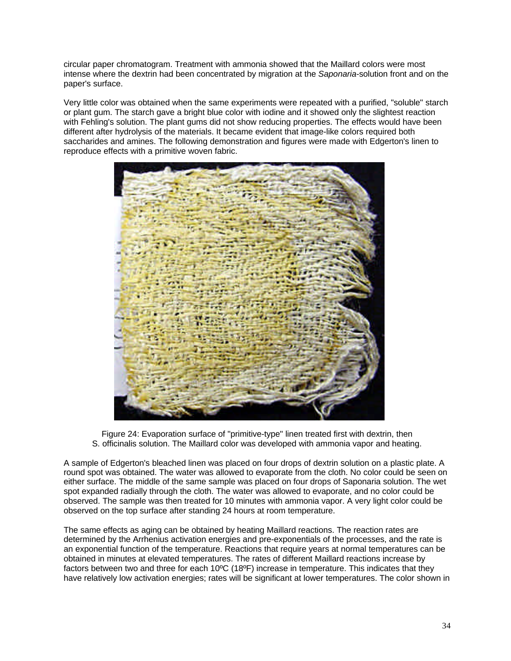circular paper chromatogram. Treatment with ammonia showed that the Maillard colors were most intense where the dextrin had been concentrated by migration at the *Saponaria*-solution front and on the paper's surface.

Very little color was obtained when the same experiments were repeated with a purified, "soluble" starch or plant gum. The starch gave a bright blue color with iodine and it showed only the slightest reaction with Fehling's solution. The plant gums did not show reducing properties. The effects would have been different after hydrolysis of the materials. It became evident that image-like colors required both saccharides and amines. The following demonstration and figures were made with Edgerton's linen to reproduce effects with a primitive woven fabric.



Figure 24: Evaporation surface of "primitive-type" linen treated first with dextrin, then S. officinalis solution. The Maillard color was developed with ammonia vapor and heating.

A sample of Edgerton's bleached linen was placed on four drops of dextrin solution on a plastic plate. A round spot was obtained. The water was allowed to evaporate from the cloth. No color could be seen on either surface. The middle of the same sample was placed on four drops of Saponaria solution. The wet spot expanded radially through the cloth. The water was allowed to evaporate, and no color could be observed. The sample was then treated for 10 minutes with ammonia vapor. A very light color could be observed on the top surface after standing 24 hours at room temperature.

The same effects as aging can be obtained by heating Maillard reactions. The reaction rates are determined by the Arrhenius activation energies and pre-exponentials of the processes, and the rate is an exponential function of the temperature. Reactions that require years at normal temperatures can be obtained in minutes at elevated temperatures. The rates of different Maillard reactions increase by factors between two and three for each 10ºC (18ºF) increase in temperature. This indicates that they have relatively low activation energies; rates will be significant at lower temperatures. The color shown in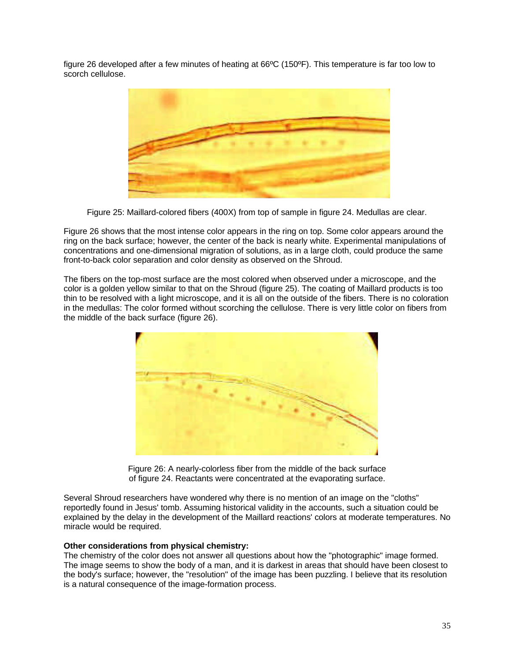figure 26 developed after a few minutes of heating at 66ºC (150ºF). This temperature is far too low to scorch cellulose.



Figure 25: Maillard-colored fibers (400X) from top of sample in figure 24. Medullas are clear.

Figure 26 shows that the most intense color appears in the ring on top. Some color appears around the ring on the back surface; however, the center of the back is nearly white. Experimental manipulations of concentrations and one-dimensional migration of solutions, as in a large cloth, could produce the same front-to-back color separation and color density as observed on the Shroud.

The fibers on the top-most surface are the most colored when observed under a microscope, and the color is a golden yellow similar to that on the Shroud (figure 25). The coating of Maillard products is too thin to be resolved with a light microscope, and it is all on the outside of the fibers. There is no coloration in the medullas: The color formed without scorching the cellulose. There is very little color on fibers from the middle of the back surface (figure 26).



Figure 26: A nearly-colorless fiber from the middle of the back surface of figure 24. Reactants were concentrated at the evaporating surface.

Several Shroud researchers have wondered why there is no mention of an image on the "cloths" reportedly found in Jesus' tomb. Assuming historical validity in the accounts, such a situation could be explained by the delay in the development of the Maillard reactions' colors at moderate temperatures. No miracle would be required.

#### **Other considerations from physical chemistry:**

The chemistry of the color does not answer all questions about how the "photographic" image formed. The image seems to show the body of a man, and it is darkest in areas that should have been closest to the body's surface; however, the "resolution" of the image has been puzzling. I believe that its resolution is a natural consequence of the image-formation process.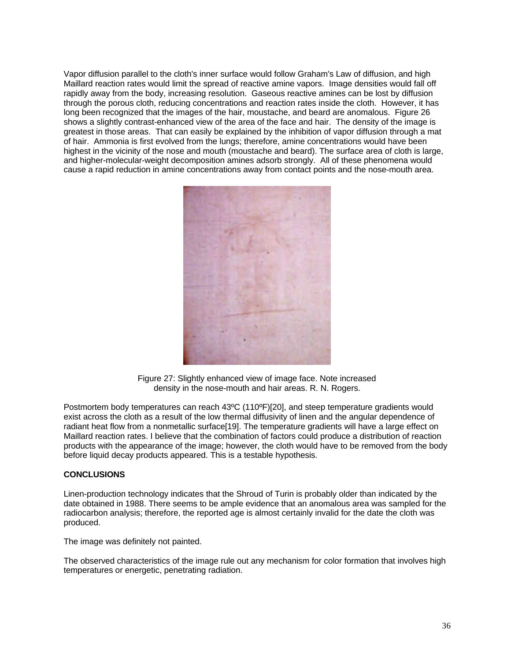Vapor diffusion parallel to the cloth's inner surface would follow Graham's Law of diffusion, and high Maillard reaction rates would limit the spread of reactive amine vapors. Image densities would fall off rapidly away from the body, increasing resolution. Gaseous reactive amines can be lost by diffusion through the porous cloth, reducing concentrations and reaction rates inside the cloth. However, it has long been recognized that the images of the hair, moustache, and beard are anomalous. Figure 26 shows a slightly contrast-enhanced view of the area of the face and hair. The density of the image is greatest in those areas. That can easily be explained by the inhibition of vapor diffusion through a mat of hair. Ammonia is first evolved from the lungs; therefore, amine concentrations would have been highest in the vicinity of the nose and mouth (moustache and beard). The surface area of cloth is large, and higher-molecular-weight decomposition amines adsorb strongly. All of these phenomena would cause a rapid reduction in amine concentrations away from contact points and the nose-mouth area.



Figure 27: Slightly enhanced view of image face. Note increased density in the nose-mouth and hair areas. R. N. Rogers.

Postmortem body temperatures can reach 43ºC (110ºF)[20], and steep temperature gradients would exist across the cloth as a result of the low thermal diffusivity of linen and the angular dependence of radiant heat flow from a nonmetallic surface[19]. The temperature gradients will have a large effect on Maillard reaction rates. I believe that the combination of factors could produce a distribution of reaction products with the appearance of the image; however, the cloth would have to be removed from the body before liquid decay products appeared. This is a testable hypothesis.

### **CONCLUSIONS**

Linen-production technology indicates that the Shroud of Turin is probably older than indicated by the date obtained in 1988. There seems to be ample evidence that an anomalous area was sampled for the radiocarbon analysis; therefore, the reported age is almost certainly invalid for the date the cloth was produced.

The image was definitely not painted.

The observed characteristics of the image rule out any mechanism for color formation that involves high temperatures or energetic, penetrating radiation.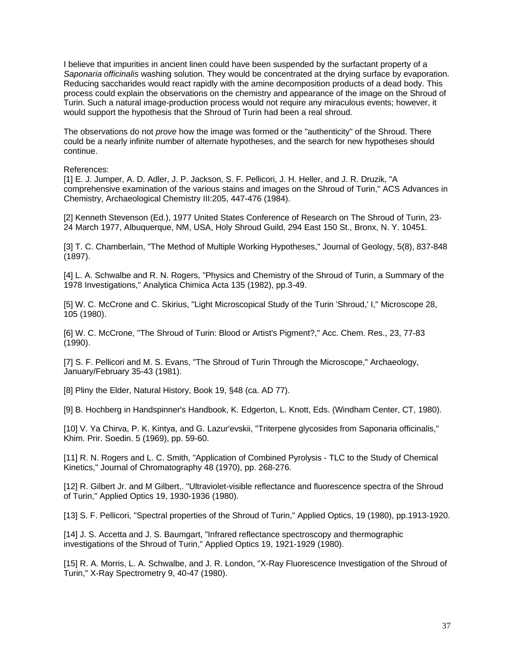I believe that impurities in ancient linen could have been suspended by the surfactant property of a *Saponaria officinalis* washing solution. They would be concentrated at the drying surface by evaporation. Reducing saccharides would react rapidly with the amine decomposition products of a dead body. This process could explain the observations on the chemistry and appearance of the image on the Shroud of Turin. Such a natural image-production process would not require any miraculous events; however, it would support the hypothesis that the Shroud of Turin had been a real shroud.

The observations do not *prove* how the image was formed or the "authenticity" of the Shroud. There could be a nearly infinite number of alternate hypotheses, and the search for new hypotheses should continue.

References:

[1] E. J. Jumper, A. D. Adler, J. P. Jackson, S. F. Pellicori, J. H. Heller, and J. R. Druzik, "A comprehensive examination of the various stains and images on the Shroud of Turin," ACS Advances in Chemistry, Archaeological Chemistry III:205, 447-476 (1984).

[2] Kenneth Stevenson (Ed.), 1977 United States Conference of Research on The Shroud of Turin, 23- 24 March 1977, Albuquerque, NM, USA, Holy Shroud Guild, 294 East 150 St., Bronx, N. Y. 10451.

[3] T. C. Chamberlain, "The Method of Multiple Working Hypotheses," Journal of Geology, 5(8), 837-848 (1897).

[4] L. A. Schwalbe and R. N. Rogers, "Physics and Chemistry of the Shroud of Turin, a Summary of the 1978 Investigations," Analytica Chimica Acta 135 (1982), pp.3-49.

[5] W. C. McCrone and C. Skirius, "Light Microscopical Study of the Turin 'Shroud,' I," Microscope 28, 105 (1980).

[6] W. C. McCrone, "The Shroud of Turin: Blood or Artist's Pigment?," Acc. Chem. Res., 23, 77-83 (1990).

[7] S. F. Pellicori and M. S. Evans, "The Shroud of Turin Through the Microscope," Archaeology, January/February 35-43 (1981).

[8] Pliny the Elder, Natural History, Book 19, §48 (ca. AD 77).

[9] B. Hochberg in Handspinner's Handbook, K. Edgerton, L. Knott, Eds. (Windham Center, CT, 1980).

[10] V. Ya Chirva, P. K. Kintya, and G. Lazur'evskii, "Triterpene glycosides from Saponaria officinalis," Khim. Prir. Soedin. 5 (1969), pp. 59-60.

[11] R. N. Rogers and L. C. Smith, "Application of Combined Pyrolysis - TLC to the Study of Chemical Kinetics," Journal of Chromatography 48 (1970), pp. 268-276.

[12] R. Gilbert Jr. and M Gilbert,. "Ultraviolet-visible reflectance and fluorescence spectra of the Shroud of Turin," Applied Optics 19, 1930-1936 (1980).

[13] S. F. Pellicori, "Spectral properties of the Shroud of Turin," Applied Optics, 19 (1980), pp.1913-1920.

[14] J. S. Accetta and J. S. Baumgart, "Infrared reflectance spectroscopy and thermographic investigations of the Shroud of Turin," Applied Optics 19, 1921-1929 (1980).

[15] R. A. Morris, L. A. Schwalbe, and J. R. London, "X-Ray Fluorescence Investigation of the Shroud of Turin," X-Ray Spectrometry 9, 40-47 (1980).